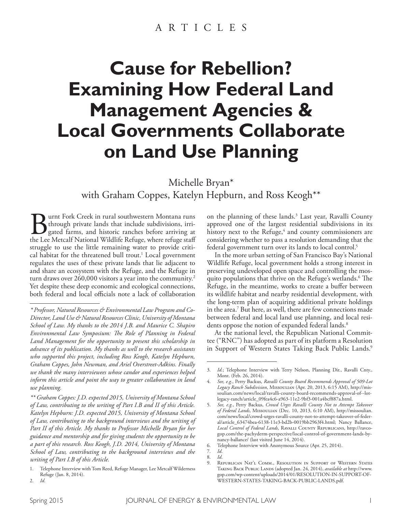# **Cause for Rebellion? Examining How Federal Land Management Agencies & Local Governments Collaborate on Land Use Planning**

Michelle Bryan\* with Graham Coppes, Katelyn Hepburn, and Ross Keogh\*\*

**Burnt Fork Creek in rural southwestern Montana runs**<br>through private lands that include subdivisions, irrigated farms, and historic ranches before arriving at<br>the Lee Metcalf National Wildlife Refuge, where refuge staff through private lands that include subdivisions, irrigated farms, and historic ranches before arriving at the Lee Metcalf National Wildlife Refuge, where refuge staf struggle to use the little remaining water to provide critical habitat for the threatened bull trout. 1 Local government regulates the uses of these private lands that lie adjacent to and share an ecosystem with the Refuge, and the Refuge in turn draws over 260,000 visitors a year into the community. 2 Yet despite these deep economic and ecological connections, both federal and local officials note a lack of collaboration

on the planning of these lands. 3 Last year, Ravalli County approved one of the largest residential subdivisions in its history next to the Refuge,<sup>4</sup> and county commissioners are considering whether to pass a resolution demanding that the federal government turn over its lands to local control. 5

In the more urban setting of San Francisco Bay's National Wildlife Refuge, local government holds a strong interest in preserving undeveloped open space and controlling the mosquito populations that thrive on the Refuge's wetlands.<sup>6</sup> The Refuge, in the meantime, works to create a buffer between its wildlife habitat and nearby residential development, with the long-term plan of acquiring additional private holdings in the area. 7 But here, as well, there are few connections made between federal and local land use planning, and local residents oppose the notion of expanded federal lands. 8

At the national level, the Republican National Committee ("RNC") has adopted as part of its platform a Resolution in Support of Western States Taking Back Public Lands. 9

*<sup>\*</sup> Professor, Natural Resources & Environmental Law Program and Co-Director, Land Use & Natural Resources Clinic, University of Montana School of Law. My thanks to the 2014 J.B. and Maurice C. Shapiro Environmental Law Symposium: Te Role of Planning in Federal Land Management for the opportunity to present this scholarship in advance of its publication. My thanks as well to the research assistants who supported this project, including Ross Keogh, Katelyn Hepburn, Graham Coppes, John Newman, and Ariel Overstreet-Adkins. Finally we thank the many interviewees whose candor and experiences helped inform this article and point the way to greater collaboration in land use planning.*

*<sup>\*\*</sup> Graham Coppes: J.D. expected 2015, University of Montana School of Law, contributing to the writing of Part I.B and II of this Article. Katelyn Hepburn: J.D. expected 2015, University of Montana School of Law, contributing to the background interviews and the writing of*  Part II of this Article. My thanks to Professor Michelle Bryan for her *guidance and mentorship and for giving students the opportunity to be a part of this research. Ross Keogh, J.D. 2014, University of Montana School of Law, contributing to the background interviews and the writing of Part I.B of this Article.*

<sup>1.</sup> Telephone Interview with Tom Reed, Refuge Manager, Lee Metcalf Wilderness Refuge (Jan. 8, 2014). 2. *Id.*

<sup>3.</sup> *Id.*; Telephone Interview with Terry Nelson, Planning Dir., Ravalli Cnty., Mont. (Feb. 26, 2014).

<sup>4.</sup> *See, e.g.*, Perry Backus, *Ravalli County Board Recommends Approval of 509-Lot Legacy Ranch Subdivision*, Missoulian (Apr. 20, 2013, 6:15 AM), http://missoulian.com/news/local/ravalli-county-board-recommends-approval-of--lotlegacy-ranch/article\_09fea4c6-a963-11e2-9bf3-001a4bcf887a.html.

<sup>5.</sup> *See, e.g.*, Perry Backus, *Crowd Urges Ravalli County Not to Attempt Takeover of Federal Lands*, Missoulian (Dec. 10, 2013, 6:10 AM), http://missoulian. com/news/local/crowd-urges-ravalli-county-not-to-attempt-takeover-of-federal/article\_63474bea-6138-11e3-bd2b-0019bb2963f4.html; Nancy Ballance, *Local Control of Federal Lands*, Ravalli County Republicans, http://ravcogop.com/the-pachyderm-perspective/local-control-of-government-lands-bynancy-ballance/ (last visited June 14, 2014).

<sup>6.</sup> Telephone Interview with Anonymous Source (Apr. 25, 2014).

<sup>7.</sup> *Id*.

<sup>8.</sup> *Id*.

REPUBLICAN NAT'L COMM., RESOLUTION IN SUPPORT OF WESTERN STATES Taking Back Public Lands (adopted Jan. 24, 2014), *available at* http://www. gop.com/wp-content/uploads/2014/01/RESOLUTION-IN-SUPPORT-OF-WESTERN-STATES-TAKING-BACK-PUBLIC-LANDS.pdf.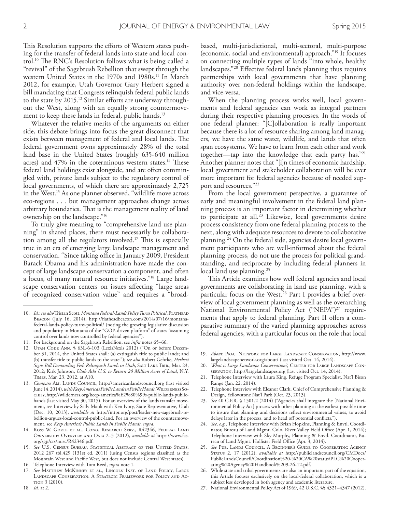This Resolution supports the efforts of Western states pushing for the transfer of federal lands into state and local control.<sup>10</sup> The RNC's Resolution follows what is being called a "revival" of the Sagebrush Rebellion that swept through the western United States in the 1970s and 1980s. 11 In March 2012, for example, Utah Governor Gary Herbert signed a bill mandating that Congress relinquish federal public lands to the state by 2015.<sup>12</sup> Similar efforts are underway throughout the West, along with an equally strong countermovement to keep these lands in federal, public hands. 13

Whatever the relative merits of the arguments on either side, this debate brings into focus the great disconnect that exists between management of federal and local lands. The federal government owns approximately 28% of the total land base in the United States (roughly 635-640 million acres) and  $47\%$  in the coterminous western states.<sup>14</sup> These federal land holdings exist alongside, and are often commingled with, private lands subject to the regulatory control of local governments, of which there are approximately 2,725 in the West. 15 As one planner observed, "wildlife move across eco-regions . . . but management approaches change across arbitrary boundaries. That is the management reality of land ownership on the landscape."16

To truly give meaning to "comprehensive land use planning" in shared places, there must necessarily be collaboration among all the regulators involved.<sup>17</sup> This is especially true in an era of emerging large landscape management and conservation. "Since taking office in January 2009, President Barack Obama and his administration have made the concept of large landscape conservation a component, and often a focus, of many natural resource initiatives."18 Large landscape conservation centers on issues afecting "large areas of recognized conservation value" and requires a "broadbased, multi-jurisdictional, multi-sectoral, multi-purpose (economic, social and environmental) approach."19 It focuses on connecting multiple types of lands "into whole, healthy landscapes."20 Efective federal lands planning thus requires partnerships with local governments that have planning authority over non-federal holdings within the landscape, and vice-versa.

When the planning process works well, local governments and federal agencies can work as integral partners during their respective planning processes. In the words of one federal planner: "[C]ollaboration is really important because there is a lot of resource sharing among land managers, we have the same water, wildlife, and lands that often span ecosystems. We have to learn from each other and work together—tap into the knowledge that each party has."21 Another planner notes that "[i]n times of economic hardship, local government and stakeholder collaboration will be ever more important for federal agencies because of needed support and resources."22

From the local government perspective, a guarantee of early and meaningful involvement in the federal land planning process is an important factor in determining whether to participate at all. 23 Likewise, local governments desire process consistency from one federal planning process to the next, along with adequate resources to devote to collaborative planning. 24 On the federal side, agencies desire local government participants who are well-informed about the federal planning process, do not use the process for political grandstanding, and reciprocate by including federal planners in local land use planning. 25

This Article examines how well federal agencies and local governments are collaborating in land use planning, with a particular focus on the West. 26 Part I provides a brief overview of local government planning as well as the overarching National Environmental Policy Act ("NEPA")<sup>27</sup> requirements that apply to federal planning. Part II offers a comparative summary of the varied planning approaches across federal agencies, with a particular focus on the role that local

- 23. *See* 40 C.F.R. § 1501.2 (2014) ("Agencies shall integrate the [National Environmental Policy Act] process with other planning at the earliest possible time to insure that planning and decisions refect environmental values, to avoid delays later in the process, and to head off potential conflicts.").
- 24. *See, e.g.*, Telephone Interview with Brian Hopkins, Planning & Envtl. Coordinator, Bureau of Land Mgmt. Colo. River Valley Field Office (Apr. 1, 2014); Telephone Interview with Sky Murphy, Planning & Envtl. Coordinator, Bureau of Land Mgmt. Hollister Field Office (Apr. 3, 2014).
- 25. *See* Pub. Lands Council, A Beginner's Guide to Cooperating Agency Status 2, 17 (2012), *available at* http://publiclandscouncil.org/CMDocs/ PublicLandsCouncil/Coordination%20-%20CA%20status/PLC%20Cooperating%20Agency%20Handbook%209-26-12.pdf.
- While state and tribal governments are also an important part of the equation, this Article focuses exclusively on the local-federal collaboration, which is a subject less developed in both agency and academic literature.
- 27. National Environmental Policy Act of 1969, 42 U.S.C. §§ 4321–4347 (2012).

<sup>10.</sup> *Id.*; *see also* Tristan Scott, Montana Federal-Lands Policy Turns Political, FLATHEAD Beacon (July 16, 2014), http://fatheadbeacon.com/2014/07/16/montanafederal-lands-policy-turns-political/ (noting the growing legislative discussion and popularity in Montana of the "GOP-driven platform" of states "assuming control over lands now controlled by federal agencies").

<sup>11.</sup> For background on the Sagebrush Rebellion, see *infra* notes 65–66.

<sup>12.</sup> Uтан Соре Ann. § 63L-6-103 (LexisNexis 2012) ("On or before December 31, 2014, the United States shall: (a) extinguish title to public lands; and (b) transfer title to public lands to the state."); *see also* Robert Gehrke, *Herbert*  Signs Bill Demanding Feds Relinquish Lands in Utah, SALT LAKE TRIB., Mar. 23, 2012; Kirk Johnson, *Utah Asks U.S. to Return 20 Million Acres of Land*, N.Y. Times, Mar. 23, 2012, at A10.

<sup>13.</sup> *Compare* Am. LANDS COUNCIL, http://americanlandscouncil.org (last visited June 14, 2014), with Keep America's Public Lands in Public Hands, WILDERNESS SOciety, http://wilderness.org/keep-america%E2%80%99s-public-lands-publichands (last visited May 30, 2015). For an overview of the lands transfer movement, see Interview by Sally Mauk with Ken Ivory, State Representative, Utah (Dec. 10, 2013), *available at* http://mtpr.org/post/leader-new-sagebrush-rebellion-argues-local-control-public-land. For an overview of the countermovement, see *Keep America's Public Lands in Public Hands*, *supra*.

<sup>14.</sup> Ross W. Gorte et al., Cong. Research Serv., R42346, Federal Land Ownership: Overview and Data 2–3 (2012), *available at* https://www.fas. org/sgp/crs/misc/R42346.pdf.

<sup>15.</sup> *See* U.S. Census Bureau, Statistical Abstract of the United States: 2012 267 tbl.429 (131st ed. 2011) (using Census regions classifed as the Mountain West and Pacifc West, but does not include Central West states).

<sup>16.</sup> Telephone Interview with Tom Reed, *supra* note 1.

<sup>17.</sup> *See* Matthew McKinney et al., Lincoln Inst. of Land Policy, Large Landscape Conservation: A Strategic Framework for Policy and Action 3 (2010).

<sup>18.</sup> *Id.* at 2.

<sup>19.</sup> *About*, Prac. Network for Large Landscape Conservation, http://www. largelandscapenetwork.org/about/ (last visited Oct. 14, 2014).

<sup>20.</sup> *What is Large Landscape Conservation?*, CENTER FOR LARGE LANDSCAPE CONservation, http://largelandscapes.org (last visited Oct. 14, 2014).

<sup>21.</sup> Telephone Interview with Laura King, Refuge Program Specialist, Nat'l Bison Range (Jan. 22, 2014).

<sup>22.</sup> Telephone Interview with Eleanor Clark, Chief of Comprehensive Planning & Design, Yellowstone Nat'l Park (Oct. 23, 2013).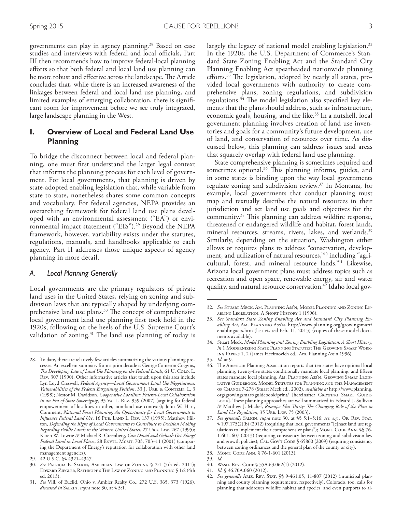governments can play in agency planning. 28 Based on case studies and interviews with federal and local officials, Part III then recommends how to improve federal-local planning eforts so that both federal and local land use planning can be more robust and effective across the landscape. The Article concludes that, while there is an increased awareness of the linkages between federal and local land use planning, and limited examples of emerging collaboration, there is signifcant room for improvement before we see truly integrated, large landscape planning in the West.

# **I. Overview of Local and Federal Land Use Planning**

To bridge the disconnect between local and federal planning, one must frst understand the larger legal context that informs the planning process for each level of government. For local governments, that planning is driven by state-adopted enabling legislation that, while variable from state to state, nonetheless shares some common concepts and vocabulary. For federal agencies, NEPA provides an overarching framework for federal land use plans developed with an environmental assessment ("EA") or environmental impact statement ("EIS"). 29 Beyond the NEPA framework, however, variability exists under the statutes, regulations, manuals, and handbooks applicable to each agency. Part II addresses those unique aspects of agency planning in more detail.

#### *A. Local Planning Generally*

Local governments are the primary regulators of private land uses in the United States, relying on zoning and subdivision laws that are typically shaped by underlying comprehensive land use plans.<sup>30</sup> The concept of comprehensive local government land use planning frst took hold in the 1920s, following on the heels of the U.S. Supreme Court's validation of zoning.<sup>31</sup> The land use planning of today is

largely the legacy of national model enabling legislation. 32 In the 1920s, the U.S. Department of Commerce's Standard State Zoning Enabling Act and the Standard City Planning Enabling Act spearheaded nationwide planning efforts.<sup>33</sup> The legislation, adopted by nearly all states, provided local governments with authority to create comprehensive plans, zoning regulations, and subdivision regulations.<sup>34</sup> The model legislation also specified key elements that the plans should address, such as infrastructure, economic goals, housing, and the like. 35 In a nutshell, local government planning involves creation of land use inventories and goals for a community's future development, use of land, and conservation of resources over time. As discussed below, this planning can address issues and areas that squarely overlap with federal land use planning.

State comprehensive planning is sometimes required and sometimes optional.<sup>36</sup> This planning informs, guides, and in some states is binding upon the way local governments regulate zoning and subdivision review. 37 In Montana, for example, local governments that conduct planning must map and textually describe the natural resources in their jurisdiction and set land use goals and objectives for the community. <sup>38</sup> Tis planning can address wildfre response, threatened or endangered wildlife and habitat, forest lands, mineral resources, streams, rivers, lakes, and wetlands. 39 Similarly, depending on the situation, Washington either allows or requires plans to address "conservation, development, and utilization of natural resources,"40 including "agricultural, forest, and mineral resource lands." 41 Likewise, Arizona local government plans must address topics such as recreation and open space, renewable energy, air and water quality, and natural resource conservation. 42 Idaho local gov-

40. Wash. Rev. Code § 35A.63.062(1) (2012).

42. *See generally* Ariz. Rev. Stat. §§ 9-461.05, 11-807 (2012) (municipal planning and county planning requirements, respectively). Colorado, too, calls for planning that addresses wildlife habitat and species, and even purports to al-

<sup>28.</sup> To date, there are relatively few articles summarizing the various planning processes. An excellent summary from a prior decade is George Cameron Coggins, *Te Developing Law of Land Use Planning on the Federal Lands*, 61 U. Colo. L. Rev. 307 (1990). Other informative articles that touch upon this area include Lyn Loyd Creswell, *Federal Agency*—*Local Government Land Use Negotiations: Vulnerabilities of the Federal Bargaining Position*, 33 J. URB. & CONTEMP. L. 3 (1998); Nestor M. Davidson, *Cooperative Localism: Federal-Local Collaboration in an Era of State Sovereignty*, 93 Va. L. Rev. 959 (2007) (arguing for federal empowerment of localities in other, non-land use contexts); John W. Hart, Comment, *National Forest Planning: An Opportunity for Local Governments to*  Influence Federal Land Use, 16 Pub. LAND L. REV. 137 (1995); Matthew Hilton, *Defending the Right of Local Governments to Contribute to Decision Making Regarding Public Lands in the Western United States*, 27 Urb. Law. 267 (1995); Karen W. Lowrie & Michael R. Greenberg, *Can David and Goliath Get Along?*  Federal Land in Local Places, 28 ENVTL. MGMT. 703, 703-11 (2001) (comparing the Department of Energy's reputation for collaboration with other land management agencies).

<sup>29.</sup> 42 U.S.C. §§ 4321–4347.

<sup>30.</sup> *See* Patricia E. Salkin, American Law of Zoning § 2:1 (5th ed. 2011); Edward Ziegler, Rathkopf 's The Law of Zoning and Planning § 1:2 (4th ed. 2013).

<sup>31.</sup> *See* Vill. of Euclid, Ohio v. Ambler Realty Co., 272 U.S. 365, 373 (1926), *discussed in* Salkin, *supra* note 30, at § 5:1.

<sup>32.</sup> *See* Stuart Meck, Am. Planning Ass'n, Model Planning and Zoning Enabling Legislation: A Short History 1 (1996).

<sup>33.</sup> *See Standard State Zoning Enabling Act and Standard City Planning Enabling Act*, Am. Planning Ass'n, http://www.planning.org/growingsmart/ enablingacts.htm (last visited Feb. 11, 2013) (copies of these model documents available).

<sup>34.</sup> Stuart Meck, *Model Planning and Zoning Enabling Legislation: A Short History*, *in* 1 MODERNIZING STATE PLANNING STATUTES: THE GROWING SMART WORKing Papers 1, 2 (James Hecimovich ed., Am. Planning Ass'n 1996).

<sup>35.</sup> *Id.* at 9.

<sup>36.</sup> The American Planning Association reports that ten states have optional local planning, twenty-fve states conditionally mandate local planning, and ffteen states mandate local planning. Am. Planning Ass'n, Growing Smart Legislative Guidebook: Model Statutes for Planning and the Management of Change 7-278 (Stuart Meck ed., 2002), *available at* http://www.planning. org/growingsmart/guidebook/print/ [hereinafter GROWING SMART GUIDE-BOOK]. These planning approaches are well summarized in Edward J. Sullivan & Matthew J. Michel, *Ramapo Plus Tirty: Te Changing Role of the Plan in*  Land Use Regulation, 35 URB. LAW. 75 (2003).

<sup>37.</sup> *See generally* Salkin, *supra* note 30, at §§ 5:1–5:16; *see, e.g.*, Or. Rev. Stat. § 197.175(2)(b) (2012) (requiring that local governments "[e]nact land use regulations to implement their comprehensive plans"); MONT. CODE ANN. §§ 76-1-601–607 (2013) (requiring consistency between zoning and subdivision law and growth policies); CAL. GOVT CODE § 65860 (2009) (requiring consistency between zoning ordinances and the general plan of the county or city). 38. Mont. Code Ann. § 76-1-601 (2013).

<sup>39.</sup> *Id.*

<sup>41.</sup> *Id*. § 36.70A.060 (2012).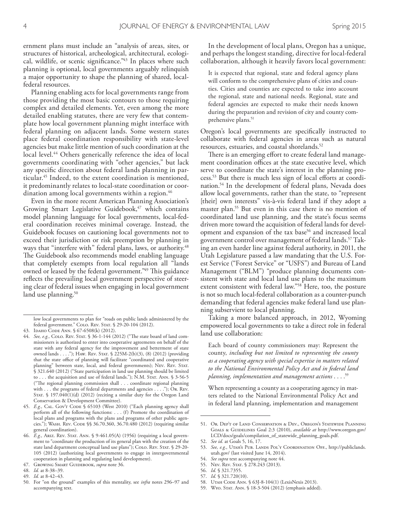ernment plans must include an "analysis of areas, sites, or structures of historical, archeological, architectural, ecological, wildlife, or scenic significance."<sup>43</sup> In places where such planning is optional, local governments arguably relinquish a major opportunity to shape the planning of shared, localfederal resources.

Planning enabling acts for local governments range from those providing the most basic contours to those requiring complex and detailed elements. Yet, even among the more detailed enabling statutes, there are very few that contemplate how local government planning might interface with federal planning on adjacent lands. Some western states place federal coordination responsibility with state-level agencies but make little mention of such coordination at the local level.<sup>44</sup> Others generically reference the idea of local governments coordinating with "other agencies," but lack any specifc direction about federal lands planning in particular.45 Indeed, to the extent coordination is mentioned, it predominantly relates to local-state coordination or coordination among local governments within a region.<sup>46</sup>

Even in the more recent American Planning Association's Growing Smart Legislative Guidebook,<sup>47</sup> which contains model planning language for local governments, local-federal coordination receives minimal coverage. Instead, the Guidebook focuses on cautioning local governments not to exceed their jurisdiction or risk preemption by planning in ways that "interfere with" federal plans, laws, or authority.<sup>48</sup> The Guidebook also recommends model enabling language that completely exempts from local regulation all "lands owned or leased by the federal government."<sup>49</sup> This guidance refects the prevailing local government perspective of steering clear of federal issues when engaging in local government land use planning.<sup>50</sup>

49. *Id.* at 8-42–43.

In the development of local plans, Oregon has a unique, and perhaps the longest standing, directive for local-federal collaboration, although it heavily favors local government:

It is expected that regional, state and federal agency plans will conform to the comprehensive plans of cities and counties. Cities and counties are expected to take into account the regional, state and national needs. Regional, state and federal agencies are expected to make their needs known during the preparation and revision of city and county comprehensive plans.<sup>51</sup>

Oregon's local governments are specifcally instructed to collaborate with federal agencies in areas such as natural resources, estuaries, and coastal shorelands.52

There is an emerging effort to create federal land management coordination offices at the state executive level, which serve to coordinate the state's interest in the planning process.<sup>53</sup> But there is much less sign of local efforts at coordination.54 In the development of federal plans, Nevada does allow local governments, rather than the state, to "represent [their] own interests" vis-à-vis federal land if they adopt a master plan.<sup>55</sup> But even in this case there is no mention of coordinated land use planning, and the state's focus seems driven more toward the acquisition of federal lands for development and expansion of the tax base<sup>56</sup> and increased local government control over management of federal lands.57 Taking an even harder line against federal authority, in 2011, the Utah Legislature passed a law mandating that the U.S. Forest Service ("Forest Service" or "USFS") and Bureau of Land Management ("BLM") "produce planning documents consistent with state and local land use plans to the maximum extent consistent with federal law."<sup>58</sup> Here, too, the posture is not so much local-federal collaboration as a counter-punch demanding that federal agencies make federal land use planning subservient to local planning.

Taking a more balanced approach, in 2012, Wyoming empowered local governments to take a direct role in federal land use collaboration:

Each board of county commissioners may: Represent the county, *including but not limited to representing the county as a cooperating agency with special expertise in matters related to the National Environmental Policy Act and in federal land planning, implementation and management actions* . . . .59

When representing a county as a cooperating agency in matters related to the National Environmental Policy Act and in federal land planning, implementation and management

- 54. *See supra* text accompanying note 44.
- 55. Nev. Rev. Stat. § 278.243 (2013).
- 56. *Id.* § 321.7355.

- 58. Utah Code Ann. § 63J-8-104(1) (LexisNexis 2013).
- 59. Wyo. Stat. Ann. § 18-3-504 (2012) (emphasis added).

low local governments to plan for "roads on public lands administered by the federal government." COLO. REV. STAT. § 29-20-104 (2012).

<sup>43.</sup> Idaho Code Ann. § 67-6508(k) (2012).

<sup>44.</sup> See, e.g., COLO. REV. STAT. § 36-1-144 (2012) ("The state board of land commissioners is authorized to enter into cooperative agreements on behalf of the state with any federal agency for the improvement and betterment of state owned lands . . . ."); Haw. Rev. Stat. § 225M-2(b)(3), (8) (2012) (providing that the state office of planning will facilitate "coordinated and cooperative planning" between state, local, and federal governments); Nev. Rev. STAT. § 321.640 (2012) ("State participation in land use planning should be limited to . . . the acquisition and use of federal lands."); N.M. STAT. ANN. § 3-56-5 ("The regional planning commission shall . . . coordinate regional planning with . . . the programs of federal departments and agencies . . . ."); OR. REV. STAT. § 197.040(1)(d) (2012) (reciting a similar duty for the Oregon Land Conservation & Development Committee).

<sup>45.</sup> E.g., CAL. Gov't Code § 65103 (West 2010) ("Each planning agency shall perform all of the following functions: . . . (f) Promote the coordination of local plans and programs with the plans and programs of other public agencies."); WASH. REV. CODE §§ 36.70.360, 36.70.480 (2012) (requiring similar general coordination).

<sup>46.</sup> *E.g.,* Ariz. Rev. Stat. Ann. § 9-461.05(A) (1956) (requiring a local government to "coordinate the production of its general plan with the creation of the state land department conceptual land use plans"); COLO. REV. STAT. § 29-20-105 (2012) (authorizing local governments to engage in intergovernmental cooperation in planning and regulating land development).

<sup>47.</sup> Growing Smart Guidebook, *supra* note 36.

<sup>48.</sup> *Id.* at 8-38–39.

<sup>50.</sup> For "on the ground" examples of this mentality, see *infra* notes 296–97 and accompanying text.

<sup>51.</sup> Or. Dep't of Land Conservation & Dev., Oregon's Statewide Planning GOALS & GUIDELINES Goal 2:3 (2010), *available at* http://www.oregon.gov/ LCD/docs/goals/compilation\_of\_statewide\_planning\_goals.pdf.

<sup>52.</sup> *See id.* at Goals 5, 16, 17.

<sup>53.</sup> See, e.g., UTAH's PUB. LANDS POL'Y COORDINATION OFF., http://publiclands. utah.gov/ (last visited June 14, 2014).

<sup>57.</sup> *Id.* § 321.720(10).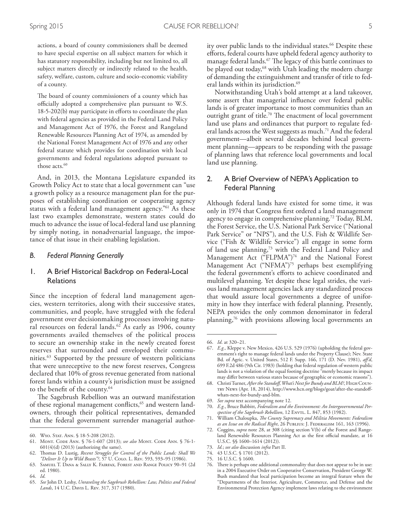actions, a board of county commissioners shall be deemed to have special expertise on all subject matters for which it has statutory responsibility, including but not limited to, all subject matters directly or indirectly related to the health, safety, welfare, custom, culture and socio-economic viability of a county.

The board of county commissioners of a county which has officially adopted a comprehensive plan pursuant to W.S. 18-5-202(b) may participate in eforts to coordinate the plan with federal agencies as provided in the Federal Land Policy and Management Act of 1976, the Forest and Rangeland Renewable Resources Planning Act of 1974, as amended by the National Forest Management Act of 1976 and any other federal statute which provides for coordination with local governments and federal regulations adopted pursuant to those acts. 60

And, in 2013, the Montana Legislature expanded its Growth Policy Act to state that a local government can "use a growth policy as a resource management plan for the purposes of establishing coordination or cooperating agency status with a federal land management agency."61 As these last two examples demonstrate, western states could do much to advance the issue of local-federal land use planning by simply noting, in nonadversarial language, the importance of that issue in their enabling legislation.

#### *B. Federal Planning Generally*

## 1. A Brief Historical Backdrop on Federal-Local **Relations**

Since the inception of federal land management agencies, western territories, along with their successive states, communities, and people, have struggled with the federal government over decisionmaking processes involving natural resources on federal lands. 62 As early as 1906, county governments availed themselves of the political process to secure an ownership stake in the newly created forest reserves that surrounded and enveloped their communities. 63 Supported by the pressure of western politicians that were unreceptive to the new forest reserves, Congress declared that 10% of gross revenue generated from national forest lands within a county's jurisdiction must be assigned to the beneft of the county. 64

The Sagebrush Rebellion was an outward manifestation of these regional management conflicts,<sup>65</sup> and western landowners, through their political representatives, demanded that the federal government surrender managerial authority over public lands to the individual states. 66 Despite these eforts, federal courts have upheld federal agency authority to manage federal lands.<sup>67</sup> The legacy of this battle continues to be played out today,<sup>68</sup> with Utah leading the modern charge of demanding the extinguishment and transfer of title to federal lands within its jurisdiction. 69

Notwithstanding Utah's bold attempt at a land takeover, some assert that managerial infuence over federal public lands is of greater importance to most communities than an outright grant of title.<sup>70</sup> The enactment of local government land use plans and ordinances that purport to regulate federal lands across the West suggests as much. 71 And the federal government—albeit several decades behind local government planning—appears to be responding with the passage of planning laws that reference local governments and local land use planning.

# 2. A Brief Overview of NEPA's Application to Federal Planning

Although federal lands have existed for some time, it was only in 1974 that Congress frst ordered a land management agency to engage in comprehensive planning. 72 Today, BLM, the Forest Service, the U.S. National Park Service ("National Park Service" or "NPS"), and the U.S. Fish & Wildlife Service ("Fish & Wildlife Service") all engage in some form of land use planning,<sup>73</sup> with the Federal Land Policy and Management Act ("FLPMA")<sup>74</sup> and the National Forest Management Act ("NFMA")<sup>75</sup> perhaps best exemplifying the federal government's eforts to achieve coordinated and multilevel planning. Yet despite these legal strides, the various land management agencies lack any standardized process that would assure local governments a degree of uniformity in how they interface with federal planning. Presently, NEPA provides the only common denominator in federal planning,76 with provisions allowing local governments an

<sup>60.</sup> Wyo. Stat. Ann. § 18-5-208 (2012).

<sup>61.</sup> Mont. Code Ann. § 76-1-607 (2013); *see also* Mont. Code Ann. § 76-1-  $601(4)(d)$  (2013) (authorizing the same).

<sup>62.</sup> Tomas D. Lustig, *Recent Struggles for Control of the Public Lands: Shall We "Deliver It Up to Wild Beasts"?*, 57 U. Colo. L. Rev. 593, 593–95 (1986).

<sup>63.</sup> Samuel T. Dana & Sally K. Fairfax*,* Forest and Range Policy 90–91 (2d ed. 1980).

<sup>64.</sup> *Id*.

<sup>65.</sup> *See* John D. Leshy, *Unraveling the Sagebrush Rebellion: Law, Politics and Federal Lands*, 14 U.C. Davis L. Rev. 317, 317 (1980).

<sup>66.</sup> *Id*. at 320–21.

<sup>67.</sup> *E.g.,* Kleppe v. New Mexico, 426 U.S. 529 (1976) (upholding the federal government's right to manage federal lands under the Property Clause); Nev. State Bd. of Agric. v. United States, 512 F. Supp. 166, 171 (D. Nev. 1981), *af'd*, 699 F.2d 486 (9th Cir. 1983) (holding that federal regulation of western public lands is not a violation of the equal footing doctrine "merely because its impact may difer between various states because of geographic or economic reasons").

<sup>68.</sup> Christi Turner, *After the Standof, What's Next for Bundy and BLM?*, High Country News (Apr. 18, 2014), http://www.hcn.org/blogs/goat/after-the-standofwhats-next-for-bundy-and-blm.

<sup>69.</sup> *See supra* text accompanying note 12.

<sup>70.</sup> *E.g.*, Bruce Babbitt, *Federalism and the Environment: An Intergovernmental Perspective of the Sagebrush Rebellion*, 12 Envtl. L. 847, 853 (1982).

<sup>71.</sup> William Chaloupka, *Te County Supremacy and Militia Movements: Federalism as an Issue on the Radical Right*, 26 Publius: J. Federalism 161, 163 (1996).

<sup>72.</sup> Coggins, *supra* note 28, at 308 (citing section V(b) of the Forest and Rangeland Renewable Resources Planning Act as the first official mandate, at 16 U.S.C. §§ 1600–1614 (2012)).

<sup>73.</sup> *Id.*; *see also* discussion *infra* Part II.

<sup>74.</sup> 43 U.S.C. § 1701 (2012).

<sup>75.</sup> 16 U.S.C. § 1600.

<sup>76.</sup> There is perhaps one additional commonality that does not appear to be in use: in a 2004 Executive Order on Cooperative Conservation, President George W. Bush mandated that local participation become an integral feature when the "Departments of the Interior, Agriculture, Commerce, and Defense and the Environmental Protection Agency implement laws relating to the environment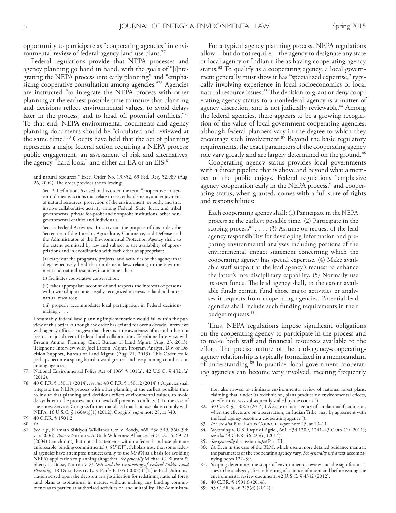opportunity to participate as "cooperating agencies" in environmental review of federal agency land use plans. 77

Federal regulations provide that NEPA processes and agency planning go hand in hand, with the goals of "[i]ntegrating the NEPA process into early planning" and "emphasizing cooperative consultation among agencies."78 Agencies are instructed "to integrate the NEPA process with other planning at the earliest possible time to insure that planning and decisions refect environmental values, to avoid delays later in the process, and to head off potential conflicts."79 To that end, NEPA environmental documents and agency planning documents should be "circulated and reviewed at the same time."80 Courts have held that the act of planning represents a major federal action requiring a NEPA process: public engagement, an assessment of risk and alternatives, the agency "hard look," and either an EA or an EIS. 81

Sec. 3. Federal Activities. To carry out the purpose of this order, the Secretaries of the Interior, Agriculture, Commerce, and Defense and the Administrator of the Environmental Protection Agency shall, to the extent permitted by law and subject to the availability of appropriations and in coordination with each other as appropriate:

(a) carry out the programs, projects, and activities of the agency that they respectively head that implement laws relating to the environment and natural resources in a manner that:

(i) facilitates cooperative conservation;

(ii) takes appropriate account of and respects the interests of persons with ownership or other legally recognized interests in land and other natural resources;

(iii) properly accommodates local participation in Federal decisionmaking . . . .

Presumably, federal land planning implementation would fall within the purview of this order. Although the order has existed for over a decade, interviews with agency officials suggest that there is little awareness of it, and it has not been a major driver of federal-local collaboration. Telephone Interview with Bryann Amme, Planning Chief, Bureau of Land Mgmt. (Aug. 23, 2013); Telephone Interview with Joel Larson, Mgmt. Program Analyst, Div. of Decision Support, Bureau of Land Mgmt. (Aug. 21, 2013). This Order could perhaps become a spring board toward greater land use planning coordination among agencies.

- 77. National Environmental Policy Act of 1969 § 101(a), 42 U.S.C. § 4321(a) (2012).
- 78. 40 C.F.R. § 1501.1 (2014); *see also* 40 C.F.R. § 1501.2 (2014) ("Agencies shall integrate the NEPA process with other planning at the earliest possible time to insure that planning and decisions refect environmental values, to avoid delays later in the process, and to head off potential conflicts."). In the case of the Forest Service, Congress further mandated that land use plans comply with NEPA. 16 U.S.C. § 1604(g)(1) (2012); Coggins, *supra* note 28, at 340.

81. *See, e.g.*, Klamath Siskiyou Wildlands Ctr. v. Boody, 468 F.3d 549, 560 (9th Cir. 2006). *But see* Norton v. S. Utah Wilderness Alliance, 542 U.S. 55, 69–71 (2004) (concluding that not all statements within a federal land use plan are enforceable, binding commitments) ("*SUWA*"). Scholars note that some federal agencies have attempted unsuccessfully to use *SUWA* as a basis for avoiding NEPA's application to planning altogether. *See generally* Michael C. Blumm & Sherry L. Bosse, Norton v. SUWA *and the Unraveling of Federal Public Land Planning*, 18 DUKE ENVTL. L. & POL'Y F. 105 (2007) ("[T]he Bush Administration seized upon the decision as a justifcation for redefning national forest land plans as aspirational in nature, without making any binding commitments as to particular authorized activities or land suitability. The Administra-

For a typical agency planning process, NEPA regulations allow—but do not require—the agency to designate any state or local agency or Indian tribe as having cooperating agency status. 82 To qualify as a cooperating agency, a local government generally must show it has "specialized expertise," typically involving experience in local socioeconomics or local natural resource issues.<sup>83</sup> The decision to grant or deny cooperating agency status to a nonfederal agency is a matter of agency discretion, and is not judicially reviewable. 84 Among the federal agencies, there appears to be a growing recognition of the value of local government cooperating agencies, although federal planners vary in the degree to which they encourage such involvement. 85 Beyond the basic regulatory requirements, the exact parameters of the cooperating agency role vary greatly and are largely determined on the ground. 86

Cooperating agency status provides local governments with a direct pipeline that is above and beyond what a member of the public enjoys. Federal regulations "emphasize agency cooperation early in the NEPA process," and cooperating status, when granted, comes with a full suite of rights and responsibilities:

Each cooperating agency shall: (1) Participate in the NEPA process at the earliest possible time. (2) Participate in the scoping process<sup>87</sup> . . . . (3) Assume on request of the lead agency responsibility for developing information and preparing environmental analyses including portions of the environmental impact statement concerning which the cooperating agency has special expertise. (4) Make available staff support at the lead agency's request to enhance the latter's interdisciplinary capability. (5) Normally use its own funds. The lead agency shall, to the extent available funds permit, fund those major activities or analyses it requests from cooperating agencies. Potential lead agencies shall include such funding requirements in their budget requests. 88

Thus, NEPA regulations impose significant obligations on the cooperating agency to participate in the process and to make both staf and fnancial resources available to the effort. The precise nature of the lead-agency-cooperatingagency relationship is typically formalized in a memorandum of understanding. 89 In practice, local government cooperating agencies can become very involved, meeting frequently

tion also moved to eliminate environmental review of national forest plans, claiming that, under its redefinition, plans produce no environmental effects, an effort that was subsequently stalled by the courts.").

- 1d.; see also Pub. LANDS COUNCIL, *supra* note 25, at 10-11.
- 84. Wyoming v. U.S. Dep't of Agric., 661 F.3d 1209, 1241–43 (10th Cir. 2011); *see also* 43 C.F.R. 46.225(c) (2014).
- 85. *See generally* discussion *infra* Part III.
- 86. *Id.* Even in the case of the BLM, which uses a more detailed guidance manual, the parameters of the cooperating agency vary. *See generally infra* text accompanying notes 122–39.
- Scoping determines the scope of environmental review and the significant issues to be analyzed, after publishing of a notice of intent and before issuing the environmental review document. 42 U.S.C. § 4332 (2012).
- 88. 40 C.F.R. § 1501.6 (2014).
- 89. 43 C.F.R. § 46.225(d) (2014).

and natural resources." Exec. Order No. 13,352, 69 Fed. Reg. 52,989 (Aug. 26, 2004). The order provides the following:

Sec. 2. Definition. As used in this order, the term "cooperative conservation'' means actions that relate to use, enhancement, and enjoyment of natural resources, protection of the environment, or both, and that involve collaborative activity among Federal, State, local, and tribal governments, private for-proft and nonproft institutions, other nongovernmental entities and individuals.

<sup>79.</sup> 40 C.F.R. § 1501.2.

<sup>80.</sup> *Id.*

<sup>82.</sup> 40 C.F.R. § 1508.5 (2014) ("A State or local agency of similar qualifcations or, when the effects are on a reservation, an Indian Tribe, may by agreement with the lead agency become a cooperating agency.").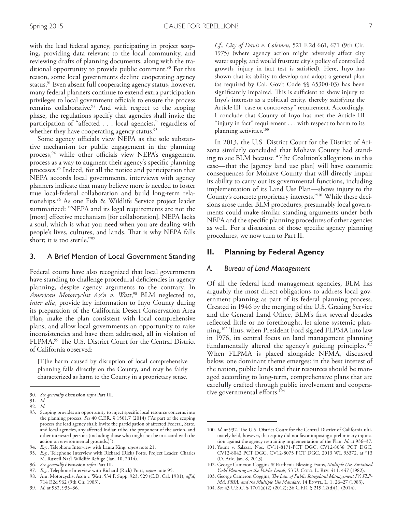with the lead federal agency, participating in project scoping, providing data relevant to the local community, and reviewing drafts of planning documents, along with the traditional opportunity to provide public comment. 90 For this reason, some local governments decline cooperating agency status. 91 Even absent full cooperating agency status, however, many federal planners continue to extend extra participation privileges to local government officials to ensure the process remains collaborative. 92 And with respect to the scoping phase, the regulations specify that agencies shall invite the participation of "affected . . . local agencies," regardless of whether they have cooperating agency status. 93

Some agency officials view NEPA as the sole substantive mechanism for public engagement in the planning process, $94$  while other officials view NEPA's engagement process as a way to augment their agency's specifc planning processes. 95 Indeed, for all the notice and participation that NEPA accords local governments, interviews with agency planners indicate that many believe more is needed to foster true local-federal collaboration and build long-term relationships. 96 As one Fish & Wildlife Service project leader summarized: "NEPA and its legal requirements are not the [most] effective mechanism [for collaboration]. NEPA lacks a soul, which is what you need when you are dealing with people's lives, cultures, and lands. That is why NEPA falls short; it is too sterile."97

#### 3. A Brief Mention of Local Government Standing

Federal courts have also recognized that local governments have standing to challenge procedural deficiencies in agency planning, despite agency arguments to the contrary. In *American Motorcyclist Ass'n v. Watt*, 98 BLM neglected to, *inter alia*, provide key information to Inyo County during its preparation of the California Desert Conservation Area Plan, make the plan consistent with local comprehensive plans, and allow local governments an opportunity to raise inconsistencies and have them addressed, all in violation of FLPMA.<sup>99</sup> The U.S. District Court for the Central District of California observed:

[T]he harm caused by disruption of local comprehensive planning falls directly on the County, and may be fairly characterized as harm to the County in a proprietary sense.

- 95. *E.g.*, Telephone Interview with Richard (Rick) Potts, Project Leader, Charles M. Russell Nat'l Wildlife Refuge (Jan. 10, 2014).
- 96. *See generally* discussion *infra* Part III.
- 97. *E.g.*, Telephone Interview with Richard (Rick) Potts, *supra* note 95.
- 98. Am. Motorcyclist Ass'n v. Watt, 534 F. Supp. 923, 929 (C.D. Cal. 1981), *af'd*, 714 F.2d 962 (9th Cir. 1983).
- 99. *Id.* at 932, 935–36.

*Cf*., *City of Davis v. Colemen*, 521 F.2d 661, 671 (9th Cir. 1975) (where agency action might adversely afect city water supply, and would frustrate city's policy of controlled growth, injury in fact test is satisfed). Here, Inyo has shown that its ability to develop and adopt a general plan (as required by Cal. Gov't Code §§ 65300-03) has been significantly impaired. This is sufficient to show injury to Inyo's interests as a political entity, thereby satisfying the Article III "case or controversy" requirement. Accordingly, I conclude that County of Inyo has met the Article III "injury in fact" requirement . . . with respect to harm to its planning activities. 100

In 2013, the U.S. District Court for the District of Arizona similarly concluded that Mohave County had standing to sue BLM because "[t]he Coalition's allegations in this case—that the [agency land use plan] will have economic consequences for Mohave County that will directly impair its ability to carry out its governmental functions, including implementation of its Land Use Plan—shows injury to the County's concrete proprietary interests."101 While these decisions arose under BLM procedures, presumably local governments could make similar standing arguments under both NEPA and the specifc planning procedures of other agencies as well. For a discussion of those specifc agency planning procedures, we now turn to Part II.

#### **II. Planning by Federal Agency**

#### *A. Bureau of Land Management*

Of all the federal land management agencies, BLM has arguably the most direct obligations to address local government planning as part of its federal planning process. Created in 1946 by the merging of the U.S. Grazing Service and the General Land Office, BLM's first several decades refected little or no forethought, let alone systemic planning.<sup>102</sup> Thus, when President Ford signed FLPMA into law in 1976, its central focus on land management planning fundamentally altered the agency's guiding principles.<sup>103</sup> When FLPMA is placed alongside NFMA, discussed below, one dominant theme emerges: in the best interest of the nation, public lands and their resources should be managed according to long-term, comprehensive plans that are carefully crafted through public involvement and cooperative governmental efforts.<sup>104</sup>

104. *See* 43 U.S.C. § 1701(a)(2) (2012); 36 C.F.R. § 219.12(d)(1) (2014).

<sup>90.</sup> *See generally* discussion *infra* Part III.

<sup>91.</sup> *Id*. 92. *Id.*

<sup>93.</sup> Scoping provides an opportunity to inject specifc local resource concerns into the planning process. *See* 40 C.F.R. § 1501.7 (2014) ("As part of the scoping process the lead agency shall: Invite the participation of afected Federal, State, and local agencies, any afected Indian tribe, the proponent of the action, and other interested persons (including those who might not be in accord with the action on environmental grounds.)").

<sup>94.</sup> *E.g.*, Telephone Interview with Laura King, *supra* note 21.

<sup>100.</sup> *Id.* at 932. The U.S. District Court for the Central District of California ultimately held, however, that equity did not favor imposing a preliminary injunction against the agency restraining implementation of the Plan. *Id.* at 936–37.

<sup>101.</sup> Yount v. Salazar, Nos. CV11-8171-PCT DGC, CV12-8038 PCT DGC, CV12-8042 PCT DGC, CV12-8075 PCT DGC, 2013 WL 93372, at \*13 (D. Ariz. Jan. 8, 2013).

<sup>102.</sup> George Cameron Coggins & Parthenia Blessing Evans, *Multiple Use, Sustained Yield Planning on the Public Lands*, 53 U. Colo. L. Rev. 411, 447 (1982).

<sup>103.</sup> George Cameron Coggins, *Te Law of Public Rangeland Management IV: FLP-MA, PRIA, and the Multiple Use Mandate*, 14 Envrt. L. 1, 26–27 (1983).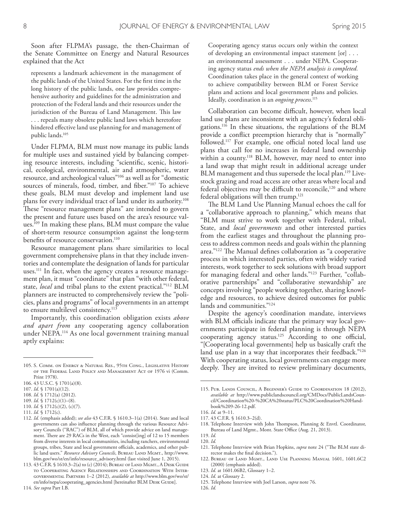Soon after FLPMA's passage, the then-Chairman of the Senate Committee on Energy and Natural Resources explained that the Act

represents a landmark achievement in the management of the public lands of the United States. For the frst time in the long history of the public lands, one law provides comprehensive authority and guidelines for the administration and protection of the Federal lands and their resources under the jurisdiction of the Bureau of Land Management. This law . . . repeals many obsolete public land laws which heretofore hindered efective land use planning for and management of public lands. 105

Under FLPMA, BLM must now manage its public lands for multiple uses and sustained yield by balancing competing resource interests, including "scientifc, scenic, historical, ecological, environmental, air and atmospheric, water resource, and archeological values"106 as well as for "domestic sources of minerals, food, timber, and fber."107 To achieve these goals, BLM must develop and implement land use plans for every individual tract of land under its authority. 108 These "resource management plans" are intended to govern the present and future uses based on the area's resource values. 109 In making these plans, BLM must compare the value of short-term resource consumption against the long-term benefts of resource conservation. 110

Resource management plans share similarities to local government comprehensive plans in that they include inventories and contemplate the designation of lands for particular uses. 111 In fact, when the agency creates a resource management plan, it must "coordinate" that plan "with other federal, state, *local* and tribal plans to the extent practical."112 BLM planners are instructed to comprehensively review the "policies, plans and programs" of local governments in an attempt to ensure multilevel consistency. 113

Importantly, this coordination obligation exists *above and apart from* any cooperating agency collaboration under NEPA. 114 As one local government training manual aptly explains:

Cooperating agency status occurs only within the context of developing an environmental impact statement [or] . . . an environmental assessment . . . under NEPA. Cooperating agency status *ends when the NEPA analysis is completed.* Coordination takes place in the general context of working to achieve compatibility between BLM or Forest Service plans and actions and local government plans and policies. Ideally, coordination is an *ongoing process*. 115

Collaboration can become difficult, however, when local land use plans are inconsistent with an agency's federal obligations. 116 In these situations, the regulations of the BLM provide a confict preemption hierarchy that is "normally" followed.<sup>117</sup> For example, one official noted local land use plans that call for no increases in federal land ownership within a county. 118 BLM, however, may need to enter into a land swap that might result in additional acreage under BLM management and thus supersede the local plan.<sup>119</sup> Livestock grazing and road access are other areas where local and federal objectives may be difficult to reconcile,<sup>120</sup> and where federal obligations will then trump. 121

The BLM Land Use Planning Manual echoes the call for a "collaborative approach to planning," which means that "BLM must strive to work together with Federal, tribal, State, and *local governments* and other interested parties from the earliest stages and throughout the planning process to address common needs and goals within the planning area."<sup>122</sup> The Manual defines collaboration as "a cooperative process in which interested parties, often with widely varied interests, work together to seek solutions with broad support for managing federal and other lands."123 Further, "collaborative partnerships" and "collaborative stewardship" are concepts involving "people working together, sharing knowledge and resources, to achieve desired outcomes for public lands and communities."124

Despite the agency's coordination mandate, interviews with BLM officials indicate that the primary way local governments participate in federal planning is through NEPA cooperating agency status.<sup>125</sup> According to one official, "[Cooperating local governments] help us basically craft the land use plan in a way that incorporates their feedback."<sup>126</sup> With cooperating status, local governments can engage more deeply. They are invited to review preliminary documents,

125. Telephone Interview with Joel Larson, *supra* note 76.

<sup>105.</sup> S. Comm. on Energy & Natural Res., 95th Cong., Legislative History of the Federal Land Policy and Management Act of 1976 vi (Comm. Print 1978).

<sup>106.</sup> 43 U.S.C. § 1701(a)(8).

<sup>107.</sup> *Id*. § 1701(a)(12).

<sup>108.</sup> *Id*. § 1712(a) (2012).

<sup>109.</sup> *Id*. § 1712(c)(1)–(8).

<sup>110.</sup> *Id.* § 1712(c)(2), (c)(7).

<sup>111.</sup> *Id.* § 1712(c).

<sup>112.</sup> *Id.* (emphasis added); *see also* 43 C.F.R. § 1610.3–1(a) (2014). State and local governments can also infuence planning through the various Resource Advisory Councils ("RAC") of BLM, all of which provide advice on land management. There are 29 RACs in the West, each "consist[ing] of 12 to 15 members from diverse interests in local communities, including ranchers, environmental groups, tribes, State and local government officials, academics, and other public land users." *Resource Advisory Councils*, BUREAU LAND MGMT., http://www. blm.gov/wo/st/en/info/resource\_advisory.html (last visited June 1, 2015).

<sup>113.</sup> 43 C.F.R. § 1610.3–2(a) to (c) (2014); Bureau of Land Mgmt., A Desk Guide to Cooperating Agency Relationships and Coordination With Intergovernmental Partners 1–2 (2012), *available at* http://www.blm.gov/wo/st/ en/info/nepa/cooperating\_agencies.html [hereinafter BLM DESK GUIDE].

<sup>115.</sup> Pub. Lands Council, A Beginner's Guide to Coordination 18 (2012), *available at* http://www.publiclandscouncil.org/CMDocs/PublicLandsCouncil/Coordination%20-%20CA%20status/PLC%20Coordination%20Handbook%209-26-12.pdf.

<sup>116.</sup> *Id.* at 9–11.

<sup>117.</sup> 43 C.F.R. § 1610.3–2(d).

<sup>118.</sup> Telephone Interview with John Thompson, Planning & Envtl. Coordinator, Bureau of Land Mgmt., Mont. State Office (Aug. 21, 2013).

<sup>119.</sup> *Id.*

<sup>120.</sup> *Id.*

<sup>121.</sup> Telephone Interview with Brian Hopkins, *supra* note 24 ("The BLM state director makes the fnal decision.").

<sup>122.</sup> Bureau of Land Mgmt., Land Use Planning Manual 1601, 1601.6C2 (2000) (emphasis added).

<sup>123.</sup> *Id.* at 1601.06B2, Glossary 1–2.

<sup>124.</sup> *Id.* at Glossary 2.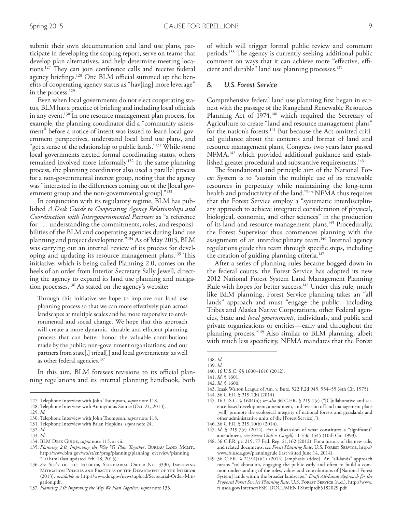submit their own documentation and land use plans, participate in developing the scoping report, serve on teams that develop plan alternatives, and help determine meeting locations.<sup>127</sup> They can join conference calls and receive federal agency briefings.<sup>128</sup> One BLM official summed up the benefts of cooperating agency status as "hav[ing] more leverage" in the process. 129

Even when local governments do not elect cooperating status, BLM has a practice of briefing and including local officials in any event. 130 In one resource management plan process, for example, the planning coordinator did a "community assessment" before a notice of intent was issued to learn local government perspectives, understand local land use plans, and "get a sense of the relationship to public lands."<sup>131</sup> While some local governments elected formal coordinating status, others remained involved more informally. 132 In the same planning process, the planning coordinator also used a parallel process for a non-governmental interest group, noting that the agency was "interested in the diferences coming out of the [local government group and the non-governmental group]."133

In conjunction with its regulatory regime, BLM has published *A Desk Guide to Cooperating Agency Relationships and Coordination with Intergovernmental Partners* as "a reference for . . . understanding the commitments, roles, and responsibilities of the BLM and cooperating agencies during land use planning and project development."134 As of May 2015, BLM was carrying out an internal review of its process for developing and updating its resource management plans.<sup>135</sup> This initiative, which is being called Planning 2.0, comes on the heels of an order from Interior Secretary Sally Jewell, directing the agency to expand its land use planning and mitigation processes. 136 As stated on the agency's website:

Through this initiative we hope to improve our land use planning process so that we can more efectively plan across landscapes at multiple scales and be more responsive to environmental and social change. We hope that this approach will create a more dynamic, durable and efficient planning process that can better honor the valuable contributions made by the public; non-government organizations; and our partners from state[,] tribal[,] and local governments; as well as other federal agencies. 137

In this aim, BLM foresees revisions to its official planning regulations and its internal planning handbook, both

134. BLM DESK GUIDE, *supra* note 113, at vii.

of which will trigger formal public review and comment periods.<sup>138</sup> The agency is currently seeking additional public comment on ways that it can achieve more "effective, efficient and durable" land use planning processes. 139

#### *B. U.S. Forest Service*

Comprehensive federal land use planning frst began in earnest with the passage of the Rangeland Renewable Resources Planning Act of 1974,<sup>140</sup> which required the Secretary of Agriculture to create "land and resource management plans" for the nation's forests. 141 But because the Act omitted critical guidance about the contents and format of land and resource management plans, Congress two years later passed NFMA,<sup>142</sup> which provided additional guidance and established greater procedural and substantive requirements. $^{\rm 143}$ 

The foundational and principle aim of the National Forest System is to "sustain the multiple use of its renewable resources in perpetuity while maintaining the long-term health and productivity of the land."<sup>144</sup> NFMA thus requires that the Forest Service employ a "systematic interdisciplinary approach to achieve integrated consideration of physical, biological, economic, and other sciences" in the production of its land and resource management plans. 145 Procedurally, the Forest Supervisor thus commences planning with the assignment of an interdisciplinary team.<sup>146</sup> Internal agency regulations guide this team through specifc steps, including the creation of guiding planning criteria. 147

After a series of planning rules became bogged down in the federal courts, the Forest Service has adopted its new 2012 National Forest System Land Management Planning Rule with hopes for better success.<sup>148</sup> Under this rule, much like BLM planning, Forest Service planning takes an "all lands" approach and must "engage the public—including Tribes and Alaska Native Corporations, other Federal agencies, State and *local governments*, individuals, and public and private organizations or entities—early and throughout the planning process."149 Also similar to BLM planning, albeit with much less specifcity, NFMA mandates that the Forest

- 143. Izaak Walton League of Am. v. Butz, 522 F.2d 945, 954–55 (4th Cir. 1975).
- 144. 36 C.F.R. § 219.1(b) (2014).
- 145. 16 U.S.C. § 1604(b); *see also* 36 C.F.R. § 219.1(c) ("[C]ollaborative and science-based development, amendment, and revision of land management plans [will] promote the ecological integrity of national forests and grasslands and other administrative units of the [Forest Service].").
- 146. 36 C.F.R. § 219.10(b) (2014).
- 147. *Id.* § 219.7(c) (2014). For a discussion of what constitutes a "signifcant" amendment, see *Sierra Club v. Cargill*, 11 F.3d 1545 (10th Cir. 1993).
- 148. 36 C.F.R. pt. 219, 77 Fed. Reg. 21,162 (2012). For a history of the new rule, and related documents, see Forest Planning Rule, U.S. FOREST SERVICE, http:// www.fs.usda.gov/planningrule (last visited June 14, 2014).
- 149. 36 C.F.R. § 219.4(a)(1) (2014) (emphasis added). An "all-lands" approach means "collaboration, engaging the public early and often to build a common understanding of the roles, values and contributions of [National Forest System] lands within the broader landscape." *Draft All-Lands Approach for the Proposed Forest Service Planning Rule*, U.S. Forest Service (n.d.), http://www. fs.usda.gov/Internet/FSE\_DOCUMENTS/stelprdb5182029.pdf.

<sup>127.</sup> Telephone Interview with John Thompson, *supra* note 118.

<sup>128.</sup> Telephone Interview with Anonymous Source (Oct. 21, 2013).

<sup>129.</sup> *Id*.

<sup>130.</sup> Telephone Interview with John Thompson, *supra* note 118.

<sup>131.</sup> Telephone Interview with Brian Hopkins, *supra* note 24.

<sup>132.</sup> *Id.*

<sup>133.</sup> *Id.*

<sup>135.</sup> Planning 2.0: Improving the Way We Plan Together, BUREAU LAND MGMT., http://www.blm.gov/wo/st/en/prog/planning/planning\_overview/planning\_ 2\_0.html (last updated Feb. 18, 2015).

<sup>136.</sup> *See* Sec'y of the Interior, Secretarial Order No. 3330, Improving Mitigation Policies and Practices of the Department of the Interior (2013), *available at* http://www.doi.gov/news/upload/Secretarial-Order-Mitigation.pdf.

<sup>137.</sup> *Planning 2.0: Improving the Way We Plan Together*, *supra* note 135.

<sup>138.</sup> *Id.* 139. *Id*.

<sup>140.</sup> 16 U.S.C. §§ 1600–1610 (2012).

<sup>141.</sup> *Id*. § 1601.

<sup>142.</sup> *Id*. § 1600.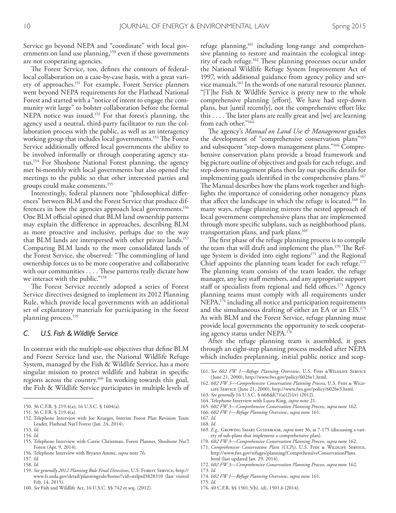Service go beyond NEPA and "coordinate" with local governments on land use planning,<sup>150</sup> even if those governments are not cooperating agencies.

The Forest Service, too, defines the contours of federallocal collaboration on a case-by-case basis, with a great variety of approaches.151 For example, Forest Service planners went beyond NEPA requirements for the Flathead National Forest and started with a "notice of intent to engage the community writ large" to bolster collaboration before the formal NEPA notice was issued.152 For that forest's planning, the agency used a neutral, third-party facilitator to run the collaboration process with the public, as well as an interagency working group that includes local governments.<sup>153</sup> The Forest Service additionally offered local governments the ability to be involved informally or through cooperating agency status.154 For Shoshone National Forest planning, the agency met bi-monthly with local governments but also opened the meetings to the public so that other interested parties and groups could make comments.155

Interestingly, federal planners note "philosophical diferences" between BLM and the Forest Service that produce differences in how the agencies approach local governments.<sup>156</sup> One BLM official opined that BLM land ownership patterns may explain the diference in approaches, describing BLM as more proactive and inclusive, perhaps due to the way that BLM lands are interspersed with other private lands.157 Comparing BLM lands to the more consolidated lands of the Forest Service, she observed: "The commingling of land ownership forces us to be more cooperative and collaborative with our communities . . . . These patterns really dictate how we interact with the public."<sup>158</sup>

The Forest Service recently adopted a series of Forest Service directives designed to implement its 2012 Planning Rule, which provide local governments with an additional set of explanatory materials for participating in the forest planning process.159

#### *C. U.S. Fish & Wildlife Service*

In contrast with the multiple-use objectives that defne BLM and Forest Service land use, the National Wildlife Refuge System, managed by the Fish & Wildlife Service, has a more singular mission to protect wildlife and habitat in specifc regions across the country.160 In working towards this goal, the Fish & Wildlife Service participates in multiple levels of

158. *Id.*

159. *See generally 2012 Planning Rule Final Directives*, U.S. Forest Service, http:// www.fs.usda.gov/detail/planningrule/home/?cid=stelprd3828310 (last visited Feb. 14, 2015).

refuge planning,<sup>161</sup> including long-range and comprehensive planning to restore and maintain the ecological integrity of each refuge.<sup>162</sup> These planning processes occur under the National Wildlife Refuge System Improvement Act of 1997, with additional guidance from agency policy and service manuals.163 In the words of one natural resource planner, "[T]he Fish & Wildlife Service is pretty new to the whole comprehensive planning [effort]. We have had step-down plans, but [until recently], not the comprehensive efort like this . . . . The later plans are really great and [we] are learning from each other."164

The agency's *Manual on Land Use & Management* guides the development of "comprehensive conservation plans"165 and subsequent "step-down management plans."166 Comprehensive conservation plans provide a broad framework and big picture outline of objectives and goals for each refuge, and step-down management plans then lay out specifc details for implementing goals identified in the comprehensive plans.<sup>167</sup> The Manual describes how the plans work together and highlights the importance of considering other nonagency plans that affect the landscape in which the refuge is located.<sup>168</sup> In many ways, refuge planning mirrors the nested approach of local government comprehensive plans that are implemented through more specifc subplans, such as neighborhood plans, transportation plans, and park plans.<sup>169</sup>

The first phase of the refuge planning process is to compile the team that will draft and implement the plan.<sup>170</sup> The Refuge System is divided into eight regions<sup>171</sup> and the Regional Chief appoints the planning team leader for each refuge.<sup>172</sup> The planning team consists of the team leader, the refuge manager, any key staff members, and any appropriate support staff or specialists from regional and field offices.<sup>173</sup> Agency planning teams must comply with all requirements under NEPA,<sup>174</sup> including all notice and participation requirements and the simultaneous drafting of either an EA or an EIS.175 As with BLM and the Forest Service, refuge planning must provide local governments the opportunity to seek cooperating agency status under NEPA.176

After the refuge planning team is assembled, it goes through an eight-step planning process modeled after NEPA which includes preplanning, initial public notice and scop-

164. Telephone Interview with Laura King, *supra* note 21. 165. *602 FW 3—Comprehensive Conservation Planning Process*, *supra* note 162.

- 169. *E.g.*, GROWING SMART GUIDEBOOK, *supra* note 36, at 7-175 (discussing a variety of sub-plans that implement a comprehensive plan).
- 170. *602 FW 3—Comprehensive Conservation Planning Process*, *supra* note 162.
- 171. Comprehensive Conservation Plans (CCPs), U.S. FISH & WILDLIFE SERVICE, http://www.fws.gov/refuges/planning/ComprehensiveConservationPlans. html (last updated Jan. 29, 2014).

173. *Id.*

175. *Id.* 176. 40 C.F.R. §§ 1501.5(b), (d), 1501.6 (2014).

<sup>150.</sup> 36 C.F.R. § 219.4(a); 16 U.S.C. § 1604(a).

<sup>151.</sup> 36 C.F.R. § 219.4(a).

<sup>152.</sup> Telephone Interview with Joe Krueger, Interim Forest Plan Revision Team Leader, Flathead Nat'l Forest (Jan. 24, 2014).

<sup>153.</sup> *Id.*

<sup>154.</sup> *Id.*

<sup>155.</sup> Telephone Interview with Carrie Christman, Forest Planner, Shoshone Nat'l Forest (Apr. 9, 2014).

<sup>156.</sup> Telephone Interview with Bryann Amme, *supra* note 76.

<sup>157.</sup> *Id.*

<sup>160.</sup> *See* Fish and Wildlife Act, 16 U.S.C. §§ 742 et seq. (2012).

<sup>161.</sup> See 602 FW 1-Refuge Planning Overview, U.S. FISH &WILDLIFE SERVICE (June 21, 2000), http://www.fws.gov/policy/602fw1.html.

<sup>162.</sup> *602 FW 3—Comprehensive Conservation Planning Process*, U.S. Fish & Wildlife Service (June 21, 2000), http://www.fws.gov/policy/602fw3.html.

<sup>163.</sup> *See generally* 16 U.S.C. § 668dd(7)(a)(2)(iv) (2012).

<sup>166.</sup> *602 FW 1—Refuge Planning Overview*, *supra* note 161.

<sup>167.</sup> *Id.* 168. *Id.*

<sup>172.</sup> *602 FW 3—Comprehensive Conservation Planning Process*, *supra* note 162.

<sup>174.</sup> *602 FW 1—Refuge Planning Overview*, *supra* note 161.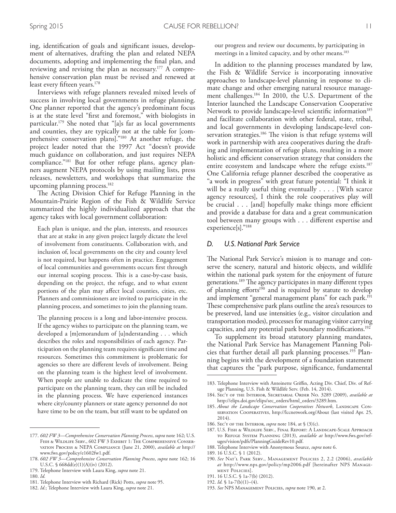ing, identifcation of goals and signifcant issues, development of alternatives, drafting the plan and related NEPA documents, adopting and implementing the fnal plan, and reviewing and revising the plan as necessary. 177 A comprehensive conservation plan must be revised and renewed at least every ffteen years. 178

Interviews with refuge planners revealed mixed levels of success in involving local governments in refuge planning. One planner reported that the agency's predominant focus is at the state level "frst and foremost," with biologists in particular. 179 She noted that "[a]s far as local governments and counties, they are typically not at the table for [comprehensive conservation plans]."180 At another refuge, the project leader noted that the 1997 Act "doesn't provide much guidance on collaboration, and just requires NEPA compliance."181 But for other refuge plans, agency planners augment NEPA protocols by using mailing lists, press releases, newsletters, and workshops that summarize the upcoming planning process. 182

The Acting Division Chief for Refuge Planning in the Mountain-Prairie Region of the Fish & Wildlife Service summarized the highly individualized approach that the agency takes with local government collaboration:

Each plan is unique, and the plan, interests, and resources that are at stake in any given project largely dictate the level of involvement from constituents. Collaboration with, and inclusion of, local governments on the city and county level is not required, but happens often in practice. Engagement of local communities and governments occurs frst through our internal scoping process. This is a case-by-case basis, depending on the project, the refuge, and to what extent portions of the plan may afect local counties, cities, etc. Planners and commissioners are invited to participate in the planning process, and sometimes to join the planning team.

The planning process is a long and labor-intensive process. If the agency wishes to participate on the planning team, we developed a [m]emorandum of [u]nderstanding . . . which describes the roles and responsibilities of each agency. Participation on the planning team requires signifcant time and resources. Sometimes this commitment is problematic for agencies so there are diferent levels of involvement. Being on the planning team is the highest level of involvement. When people are unable to dedicate the time required to participate on the planning team, they can still be included in the planning process. We have experienced instances where city/county planners or state agency personnel do not have time to be on the team, but still want to be updated on our progress and review our documents, by participating in meetings in a limited capacity, and by other means. 183

In addition to the planning processes mandated by law, the Fish & Wildlife Service is incorporating innovative approaches to landscape-level planning in response to climate change and other emerging natural resource management challenges. 184 In 2010, the U.S. Department of the Interior launched the Landscape Conservation Cooperative Network to provide landscape-level scientific information<sup>185</sup> and facilitate collaboration with other federal, state, tribal, and local governments in developing landscape-level conservation strategies.<sup>186</sup> The vision is that refuge systems will work in partnership with area cooperatives during the drafting and implementation of refuge plans, resulting in a more holistic and efficient conservation strategy that considers the entire ecosystem and landscape where the refuge exists. 187 One California refuge planner described the cooperative as "a work in progress" with great future potential: "I think it will be a really useful thing eventually . . . . [With scarce agency resources], I think the role cooperatives play will be crucial . . . [and] hopefully make things more efficient and provide a database for data and a great communication tool between many groups with . . . diferent expertise and experience[s]."188

#### *D. U.S. National Park Service*

The National Park Service's mission is to manage and conserve the scenery, natural and historic objects, and wildlife within the national park system for the enjoyment of future generations.<sup>189</sup> The agency participates in many different types of planning efforts<sup>190</sup> and is required by statute to develop and implement "general management plans" for each park. 191 These comprehensive park plans outline the area's resources to be preserved, land use intensities (e.g., visitor circulation and transportation modes), processes for managing visitor carrying capacities, and any potential park boundary modifcations. 192

To supplement its broad statutory planning mandates, the National Park Service has Management Planning Policies that further detail all park planning processes. 193 Planning begins with the development of a foundation statement that captures the "park purpose, signifcance, fundamental

- 186. Sec'y of the Interior, *supra* note 184, at § (3)(c).
- 187. U.S. Fish & Wildlife Serv., Final Report: A Landscape-Scale Approach to Refuge System Planning (2013), *available at* http://www.fws.gov/refuges/vision/pdfs/PlanningGuideRev10.pdf.
- 188. Telephone Interview with Anonymous Source, *supra* note 6.
- 189. 16 U.S.C. § 1 (2012).
- 190. *See* Nat'l Park Serv., Management Policies 2, 2.2 (2006), *available at* http://www.nps.gov/policy/mp2006.pdf [hereinafter NPS Management Policies].
- 191. 16 U.S.C. § 1a-7(b) (2012).
- 192. *Id.* § 1a-7(b)(1)–(4).
- 193. *See* NPS Management Policies, *supra* note 190, at 2.

<sup>177.</sup> *602 FW 3—Comprehensive Conservation Planning Process*, *supra* note 162; U.S. FISH & WILDLIFE SERV., 602 FW 3 EXHIBIT 1: THE COMPREHENSIVE CONSERvation Process & NEPA Compliance (June 21, 2000), *available at* http:// www.fws.gov/policy/e1602fw1.pdf.

<sup>178.</sup> *602 FW 3—Comprehensive Conservation Planning Process*, *supra* note 162; 16 U.S.C. § 668dd(e)(1)(A)(iv) (2012).

<sup>179.</sup> Telephone Interview with Laura King, *supra* note 21.

<sup>180.</sup> *Id.*

<sup>181.</sup> Telephone Interview with Richard (Rick) Potts, *supra* note 95.

<sup>182.</sup> *Id.*; Telephone Interview with Laura King, *supra* note 21.

<sup>183.</sup> Telephone Interview with Antoinette Grifn, Acting Div. Chief, Div. of Refuge Planning, U.S. Fish & Wildlife Serv. (Feb. 14, 2014).

<sup>184.</sup> Sec'y of the Interior, Secretarial Order No. 3289 (2009), *available at* http://elips.doi.gov/elips/sec\_orders/html\_orders/3289.htm.

<sup>185.</sup> About the Landscape Conservation Cooperatives Network, LANDSCAPE CONservation Cooperatives, http://lccnetwork.org/About (last visited Apr. 25, 2014).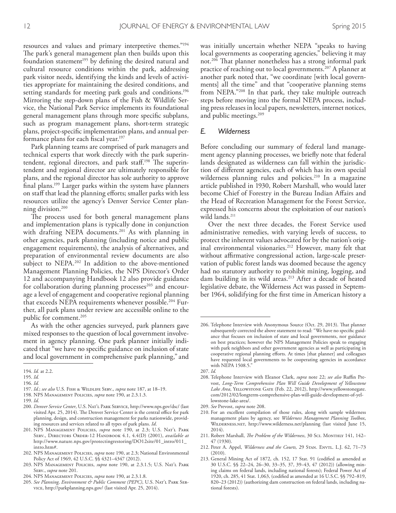resources and values and primary interpretive themes."194 The park's general management plan then builds upon this foundation statement<sup>195</sup> by defining the desired natural and cultural resource conditions within the park, addressing park visitor needs, identifying the kinds and levels of activities appropriate for maintaining the desired conditions, and setting standards for meeting park goals and conditions. 196 Mirroring the step-down plans of the Fish & Wildlife Service, the National Park Service implements its foundational general management plans through more specifc subplans, such as program management plans, short-term strategic plans, project-specifc implementation plans, and annual performance plans for each fscal year. 197

Park planning teams are comprised of park managers and technical experts that work directly with the park superintendent, regional directors, and park staff.<sup>198</sup> The superintendent and regional director are ultimately responsible for plans, and the regional director has sole authority to approve fnal plans. 199 Larger parks within the system have planners on staff that lead the planning efforts; smaller parks with less resources utilize the agency's Denver Service Center planning division. 200

The process used for both general management plans and implementation plans is typically done in conjunction with drafting NEPA documents. 201 As with planning in other agencies, park planning (including notice and public engagement requirements), the analysis of alternatives, and preparation of environmental review documents are also subject to NEPA. 202 In addition to the above-mentioned Management Planning Policies, the NPS Director's Order 12 and accompanying Handbook 12 also provide guidance for collaboration during planning processes<sup>203</sup> and encourage a level of engagement and cooperative regional planning that exceeds NEPA requirements whenever possible. 204 Further, all park plans under review are accessible online to the public for comment. 205

As with the other agencies surveyed, park planners gave mixed responses to the question of local government involvement in agency planning. One park planner initially indicated that "we have no specifc guidance on inclusion of state and local government in comprehensive park planning," and

203. NPS Management Policies, *supra* note 190, at 2.3.1.5; U.S. Nat'l Park Serv., *supra* note 201.

was initially uncertain whether NEPA "speaks to having local governments as cooperating agencies," believing it may not. <sup>206</sup> Tat planner nonetheless has a strong informal park practice of reaching out to local governments. 207 A planner at another park noted that, "we coordinate [with local governments] all the time" and that "cooperative planning stems from NEPA."208 In that park, they take multiple outreach steps before moving into the formal NEPA process, including press releases in local papers, newsletters, internet notices, and public meetings. 209

#### *E. Wilderness*

Before concluding our summary of federal land management agency planning processes, we briefy note that federal lands designated as wilderness can fall within the jurisdiction of diferent agencies, each of which has its own special wilderness planning rules and policies. 210 In a magazine article published in 1930, Robert Marshall, who would later become Chief of Forestry in the Bureau Indian Affairs and the Head of Recreation Management for the Forest Service, expressed his concerns about the exploitation of our nation's wild lands. 211

Over the next three decades, the Forest Service used administrative remedies, with varying levels of success, to protect the inherent values advocated for by the nation's original environmental visionaries. 212 However, many felt that without affirmative congressional action, large-scale preservation of public forest lands was doomed because the agency had no statutory authority to prohibit mining, logging, and dam building in its wild areas. 213 After a decade of heated legislative debate, the Wilderness Act was passed in September 1964, solidifying for the frst time in American history a

- 211. Robert Marshall, *The Problem of the Wilderness*, 30 Sci. MONTHLY 141, 142-47 (1930).
- 212. Peter A. Appel, *Wilderness and the Courts*, 29 STAN. ENVTL. L.J. 62, 71-73 (2010).
- 213. General Mining Act of 1872, ch. 152, 17 Stat. 91 (codifed as amended at 30 U.S.C. §§ 22–24, 26–30, 33–35, 37, 39–43, 47 (2012)) (allowing mining claims on federal lands, including national forests); Federal Power Act of 1920, ch. 285, 41 Stat. 1,063, (codifed as amended at 16 U.S.C. §§ 792–819, 820–23 (2012)) (authorizing dam construction on federal lands, including national forests).

<sup>194.</sup> *Id.* at 2.2.

<sup>195.</sup> *Id.*

<sup>196.</sup> *Id.*

<sup>197.</sup> *Id.*; *see also* U.S. Fish & Wildlife Serv., *supra* note 187, at 18–19.

<sup>198.</sup> NPS Management Policies, *supra* note 190, at 2.3.1.3.

<sup>199.</sup> *Id*.

<sup>200.</sup> *Denver Service Center*, U.S. Nat'l Park Service, http://www.nps.gov/dsc/ (last visited Apr. 25, 2014). The Denver Service Center is the central office for park planning, design, and construction management for parks nationwide, providing resources and services related to all types of park plans. *Id*.

<sup>201.</sup> NPS Management Policies, *supra* note 190, at 2.3; U.S. Nat'l Park Serv., Directors Order-12 Handbook 4.1, 4.4(D) (2001), *available at* http://www.nature.nps.gov/protectingrestoring/DO12site/01\_intro/011\_ intro.htm#.

<sup>202.</sup> NPS Management Policies, *supra* note 190, at 2.3; National Environmental Policy Act of 1969, 42 U.S.C. §§ 4321–4347 (2012).

<sup>204.</sup> NPS Management Policies, *supra* note 190, at 2.3.1.8.

<sup>205.</sup> *See Planning, Environment & Public Comment (PEPC)*, U.S. Nat'l Park Service, http://parkplanning.nps.gov/ (last visited Apr. 25, 2014).

<sup>206.</sup> Telephone Interview with Anonymous Source (Oct. 29, 2013). Tat planner subsequently corrected the above statement to read: "We have no specifc guidance that focuses on inclusion of state and local governments, nor guidance on best practices; however the NPS Management Policies speak to engaging with park neighbors and other government agencies as well as participating in cooperative regional planning efforts. At times [that planner] and colleagues have requested local governments to be cooperating agencies in accordance with NEPA 1508.5.'

<sup>207.</sup> *Id.*

<sup>208.</sup> Telephone Interview with Eleanor Clark, *supra* note 22; see also Ruffin Prevost, *Long-Term Comprehensive Plan Will Guide Development of Yellowstone Lake Area*, Yellowstone Gate (Feb. 22, 2012), http://www.yellowstonegate. com/2012/02/longterm-comprehensive-plan-will-guide-development-of-yellowstone-lake-area/.

<sup>209.</sup> *See* Prevost, *supra* note 208.

<sup>210.</sup> For an excellent compilation of those rules, along with sample wilderness management plans by agency, see *Wilderness Management Planning Toolbox*, Wilderness.net, http://www.wilderness.net/planning (last visited June 15, 2014).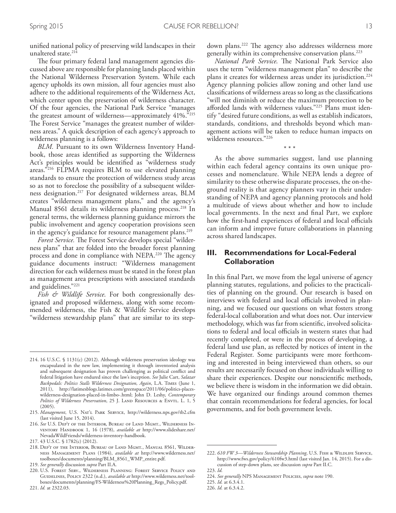unifed national policy of preserving wild landscapes in their unaltered state. 214

The four primary federal land management agencies discussed above are responsible for planning lands placed within the National Wilderness Preservation System. While each agency upholds its own mission, all four agencies must also adhere to the additional requirements of the Wilderness Act, which center upon the preservation of wilderness character. Of the four agencies, the National Park Service "manages the greatest amount of wilderness—approximately 41%."215 The Forest Service "manages the greatest number of wilderness areas." A quick description of each agency's approach to wilderness planning is a follows:

*BLM.* Pursuant to its own Wilderness Inventory Handbook, those areas identifed as supporting the Wilderness Act's principles would be identifed as "wilderness study areas."216 FLPMA requires BLM to use elevated planning standards to ensure the protection of wilderness study areas so as not to foreclose the possibility of a subsequent wilderness designation. 217 For designated wilderness areas, BLM creates "wilderness management plans," and the agency's Manual 8561 details its wilderness planning process. 218 In general terms, the wilderness planning guidance mirrors the public involvement and agency cooperation provisions seen in the agency's guidance for resource management plans. 219

*Forest Service*. The Forest Service develops special "wilderness plans" that are folded into the broader forest planning process and done in compliance with NEPA.<sup>220</sup> The agency guidance documents instruct: "Wilderness management direction for each wilderness must be stated in the forest plan as management area prescriptions with associated standards and guidelines."221

*Fish & Wildlife Service*. For both congressionally designated and proposed wilderness, along with some recommended wilderness, the Fish & Wildlife Service develops "wilderness stewardship plans" that are similar to its stepdown plans.<sup>222</sup> The agency also addresses wilderness more generally within its comprehensive conservation plans. 223

*National Park Service*. The National Park Service also uses the term "wilderness management plan" to describe the plans it creates for wilderness areas under its jurisdiction. 224 Agency planning policies allow zoning and other land use classifcations of wilderness areas so long as the classifcations "will not diminish or reduce the maximum protection to be aforded lands with wilderness values."225 Plans must identify "desired future conditions, as well as establish indicators, standards, conditions, and thresholds beyond which management actions will be taken to reduce human impacts on wilderness resources."226

\* \* \*

As the above summaries suggest, land use planning within each federal agency contains its own unique processes and nomenclature. While NEPA lends a degree of similarity to these otherwise disparate processes, the on-theground reality is that agency planners vary in their understanding of NEPA and agency planning protocols and hold a multitude of views about whether and how to include local governments. In the next and fnal Part, we explore how the first-hand experiences of federal and local officials can inform and improve future collaborations in planning across shared landscapes.

# **III. Recommendations for Local-Federal Collaboration**

In this fnal Part, we move from the legal universe of agency planning statutes, regulations, and policies to the practicalities of planning on the ground. Our research is based on interviews with federal and local officials involved in planning, and we focused our questions on what fosters strong federal-local collaboration and what does not. Our interview methodology, which was far from scientifc, involved solicitations to federal and local officials in western states that had recently completed, or were in the process of developing, a federal land use plan, as refected by notices of intent in the Federal Register. Some participants were more forthcoming and interested in being interviewed than others, so our results are necessarily focused on those individuals willing to share their experiences. Despite our nonscientifc methods, we believe there is wisdom in the information we did obtain. We have organized our fndings around common themes that contain recommendations for federal agencies, for local governments, and for both government levels.

<sup>214.</sup> 16 U.S.C. § 1131(c) (2012). Although wilderness preservation ideology was encapsulated in the new law, implementing it through inventoried analysis and subsequent designation has proven challenging as political confict and federal litigation have endured since the law's inception. *See* Julie Cart, *Salazar Backpedals: Politics Stalls Wilderness Designation, Again*, L.A. Times (June 1, 2011), http://latimesblogs.latimes.com/greenspace/2011/06/politics-placeswilderness-designation-placed-in-limbo-.html; John D. Leshy, *Contemporary Politics of Wilderness Preservation*, 25 J. LAND RESOURCES & ENVTL. L. 1, 5 (2005).

<sup>215.</sup> *Management*, U.S. Nat'l Park Service, http://wilderness.nps.gov/tb2.cfm (last visited June 15, 2014).

<sup>216.</sup> *See* U.S. Dep't of the Interior, Bureau of Land Mgmt., Wilderness Inventory Handbook 1, 16 (1978), *available at* http://www.slideshare.net/ NevadaWildFriends/wilderness-inventory-handbook.

<sup>217.</sup> 43 U.S.C. § 1782(c) (2012).

<sup>218.</sup> Dep't of the Interior, Bureau of Land Mgmt., Manual 8561, Wilderness Management Plans (1984), *available at* http://www.wilderness.net/ toolboxes/documents/planning/BLM\_8561\_WMP\_entire.pdf.

<sup>219.</sup> *See generally* discussion *supra* Part II.A.

<sup>220.</sup> U.S. Forest Serv., Wilderness Planning: Forest Service Policy and GUIDELINES, POLICY 2322 (n.d.), *available at* http://www.wilderness.net/toolboxes/documents/planning/FS-Wilderness%20Planning\_Regs\_Policy.pdf.

<sup>221.</sup> *Id.* at 2322.03.

<sup>222. 610</sup> FW 3-Wilderness Stewardship Planning, U.S. FISH & WILDLIFE SERVICE, http://www.fws.gov/policy/610fw3.html (last visited Jan. 14, 2015). For a discussion of step-down plans, see discussion *supra* Part II.C.

<sup>223.</sup> *Id.*

<sup>224.</sup> *See generally* NPS Management Policies, *supra* note 190.

<sup>225.</sup> *Id.* at 6.3.4.1. 226. *Id.* at 6.3.4.2.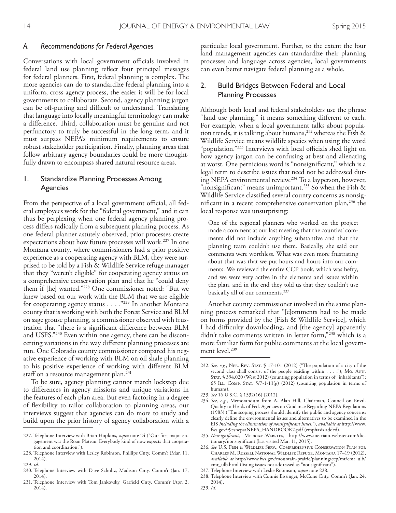#### *A. Recommendations for Federal Agencies*

Conversations with local government officials involved in federal land use planning refect four principal messages for federal planners. First, federal planning is complex. The more agencies can do to standardize federal planning into a uniform, cross-agency process, the easier it will be for local governments to collaborate. Second, agency planning jargon can be off-putting and difficult to understand. Translating that language into locally meaningful terminology can make a difference. Third, collaboration must be genuine and not perfunctory to truly be successful in the long term, and it must surpass NEPA's minimum requirements to ensure robust stakeholder participation. Finally, planning areas that follow arbitrary agency boundaries could be more thoughtfully drawn to encompass shared natural resource areas.

## 1. Standardize Planning Processes Among Agencies

From the perspective of a local government official, all federal employees work for the "federal government," and it can thus be perplexing when one federal agency planning process difers radically from a subsequent planning process. As one federal planner astutely observed, prior processes create expectations about how future processes will work. 227 In one Montana county, where commissioners had a prior positive experience as a cooperating agency with BLM, they were surprised to be told by a Fish & Wildlife Service refuge manager that they "weren't eligible" for cooperating agency status on a comprehensive conservation plan and that he "could deny them if [he] wanted."228 One commissioner noted: "But we knew based on our work with the BLM that we are eligible for cooperating agency status . . . ."229 In another Montana county that is working with both the Forest Service and BLM on sage grouse planning, a commissioner observed with frustration that "there is a signifcant diference between BLM and USFS."230 Even within one agency, there can be disconcerting variations in the way diferent planning processes are run. One Colorado county commissioner compared his negative experience of working with BLM on oil shale planning to his positive experience of working with diferent BLM staff on a resource management plan. $^{231}$ 

To be sure, agency planning cannot march lockstep due to diferences in agency missions and unique variations in the features of each plan area. But even factoring in a degree of fexibility to tailor collaboration to planning areas, our interviews suggest that agencies can do more to study and build upon the prior history of agency collaboration with a particular local government. Further, to the extent the four land management agencies can standardize their planning processes and language across agencies, local governments can even better navigate federal planning as a whole.

## 2. Build Bridges Between Federal and Local Planning Processes

Although both local and federal stakeholders use the phrase "land use planning," it means something diferent to each. For example, when a local government talks about population trends, it is talking about humans,  $232$  whereas the Fish & Wildlife Service means wildlife species when using the word "population."<sup>233</sup> Interviews with local officials shed light on how agency jargon can be confusing at best and alienating at worst. One pernicious word is "nonsignifcant," which is a legal term to describe issues that need not be addressed during NEPA environmental review. 234 To a layperson, however, "nonsignificant" means unimportant.<sup>235</sup> So when the Fish  $\&$ Wildlife Service classifed several county concerns as nonsignificant in a recent comprehensive conservation plan,<sup>236</sup> the local response was unsurprising:

One of the regional planners who worked on the project made a comment at our last meeting that the counties' comments did not include anything substantive and that the planning team couldn't use them. Basically, she said our comments were worthless. What was even more frustrating about that was that we put hours and hours into our comments. We reviewed the entire CCP book, which was hefty, and we were very active in the elements and issues within the plan, and in the end they told us that they couldn't use basically all of our comments. 237

Another county commissioner involved in the same planning process remarked that "[c]omments had to be made on forms provided by the [Fish & Wildlife Service], which I had difculty downloading, and [the agency] apparently didn't take comments written in letter form,"238 which is a more familiar form for public comments at the local government level. 239

- 237. Telephone Interview with Leslie Robinson, *supra* note 228.
- 238. Telephone Interview with Connie Eissinger, McCone Cnty. Comm'r (Jan. 24, 2014). 239. *Id.*

<sup>227.</sup> Telephone Interview with Brian Hopkins, *supra* note 24 ("Our frst major engagement was the Roan Plateau. Everybody kind of now expects that cooperation and coordination.").

<sup>228.</sup> Telephone Interview with Lesley Robinson, Phillips Cnty. Comm'r (Mar. 11, 2014).

<sup>229.</sup> *Id*.

<sup>230.</sup> Telephone Interview with Dave Schultz, Madison Cnty. Comm'r (Jan. 17, 2014).

<sup>231.</sup> Telephone Interview with Tom Jankovsky, Garfeld Cnty. Comm'r (Apr. 2, 2014).

<sup>232.</sup> See, e.g., NEB. REV. STAT. § 17-101 (2012) ("The population of a city of the second class shall consist of the people residing within . . . ."); Mo. Ann. STAT. § 394.020 (West 2012) (counting population in terms of "inhabitants"); 65 Ill. Comp. Stat. 5/7-1-13(g) (2012) (counting population in terms of humans).

<sup>233.</sup> *See* 16 U.S.C. § 1532(16) (2012).

<sup>234.</sup> *See, e.g.*, Memorandum from A. Alan Hill, Chairman, Council on Envtl. Quality to Heads of Fed. Agencies on Guidance Regarding NEPA Regulations (1983) ("The scoping process should identify the public and agency concerns; clearly defne the environmental issues and alternatives to be examined in the EIS *including the elimination of nonsignifcant issues*."), *available at* http://www. fws.gov/r9esnepa/NEPA\_HANDBOOK2.pdf (emphasis added).

<sup>235.</sup> *Nonsignifcant*, Merriam-Webster, http://www.merriam-webster.com/dictionary/nonsignifcant (last visited Mar. 11, 2015).

<sup>236.</sup> *See* U.S. Fish & Wildlife Serv., Comprehensive Conservation Plan for Charles M. Russell National Wildlife Refuge, Montana 17–19 (2012), *available at* http://www.fws.gov/mountain-prairie/planning/ccp/mt/cmr\_ulb/ cmr\_ulb.html (listing issues not addressed as "not signifcant").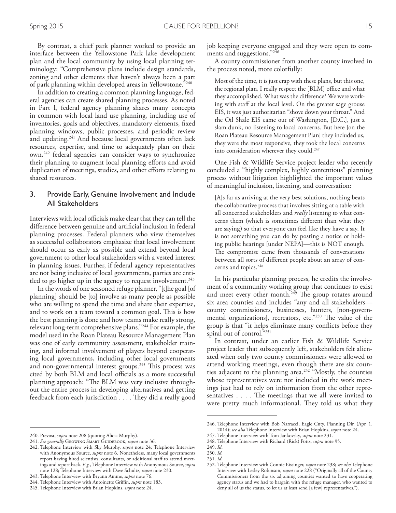By contrast, a chief park planner worked to provide an interface between the Yellowstone Park lake development plan and the local community by using local planning terminology: "Comprehensive plans include design standards, zoning and other elements that haven't always been a part of park planning within developed areas in Yellowstone."240

In addition to creating a common planning language, federal agencies can create shared planning processes. As noted in Part I, federal agency planning shares many concepts in common with local land use planning, including use of inventories, goals and objectives, mandatory elements, fxed planning windows, public processes, and periodic review and updating. 241 And because local governments often lack resources, expertise, and time to adequately plan on their own,<sup>242</sup> federal agencies can consider ways to synchronize their planning to augment local planning efforts and avoid duplication of meetings, studies, and other efforts relating to shared resources.

## 3. Provide Early, Genuine Involvement and Include All Stakeholders

Interviews with local officials make clear that they can tell the diference between genuine and artifcial inclusion in federal planning processes. Federal planners who view themselves as successful collaborators emphasize that local involvement should occur as early as possible and extend beyond local government to other local stakeholders with a vested interest in planning issues. Further, if federal agency representatives are not being inclusive of local governments, parties are entitled to go higher up in the agency to request involvement. 243

In the words of one seasoned refuge planner, "[t]he goal [of planning] should be [to] involve as many people as possible who are willing to spend the time and share their expertise, and to work on a team toward a common goal. This is how the best planning is done and how teams make really strong, relevant long-term comprehensive plans."244 For example, the model used in the Roan Plateau Resource Management Plan was one of early community assessment, stakeholder training, and informal involvement of players beyond cooperating local governments, including other local governments and non-governmental interest groups.<sup>245</sup> This process was cited by both BLM and local officials as a more successful planning approach: "The BLM was very inclusive throughout the entire process in developing alternatives and getting feedback from each jurisdiction . . . . They did a really good

job keeping everyone engaged and they were open to comments and suggestions."<sup>246</sup>

A county commissioner from another county involved in the process noted, more colorfully:

Most of the time, it is just crap with these plans, but this one, the regional plan, I really respect the [BLM] office and what they accomplished. What was the diference? We were working with staff at the local level. On the greater sage grouse EIS, it was just authoritarian "shove down your throat." And the Oil Shale EIS came out of Washington, [D.C.], just a slam dunk, no listening to local concerns. But here [on the Roan Plateau Resource Management Plan] they included us, they were the most responsive, they took the local concerns into consideration wherever they could. 247

One Fish & Wildlife Service project leader who recently concluded a "highly complex, highly contentious" planning process without litigation highlighted the important values of meaningful inclusion, listening, and conversation:

[A]s far as arriving at the very best solutions, nothing beats the collaborative process that involves sitting at a table with all concerned stakeholders and *really* listening to what concerns them (which is sometimes diferent than what they are saying) so that everyone can feel like they have a say. It is not something you can do by posting a notice or holding public hearings [under NEPA]—this is NOT enough. The compromise came from thousands of conversations between all sorts of diferent people about an array of concerns and topics. 248

In his particular planning process, he credits the involvement of a community working group that continues to exist and meet every other month.<sup>249</sup> The group rotates around six area counties and includes "any and all stakeholders county commissioners, businesses, hunters, [non-governmental organizations], recreators, etc."<sup>250</sup> The value of the group is that "it helps eliminate many conficts before they spiral out of control."251

In contrast, under an earlier Fish & Wildlife Service project leader that subsequently left, stakeholders felt alienated when only two county commissioners were allowed to attend working meetings, even though there are six counties adjacent to the planning area. 252 "Mostly, the counties whose representatives were not included in the work meetings just had to rely on information from the other representatives  $\ldots$ . The meetings that we all were invited to were pretty much informational. They told us what they

<sup>240.</sup> Prevost, *supra* note 208 (quoting Alicia Murphy).

<sup>241.</sup> See generally GROWING SMART GUIDEBOOK, *supra* note 36.

<sup>242.</sup> Telephone Interview with Sky Murphy, *supra* note 24; Telephone Interview with Anonymous Source, *supra* note 6. Nonetheless, many local governments report having hired scientists, consultants, or additional staf to attend meetings and report back. *E.g.*, Telephone Interview with Anonymous Source, *supra* note 128; Telephone Interview with Dave Schultz, *supra* note 230.

<sup>243.</sup> Telephone Interview with Bryann Amme, *supra* note 76.

<sup>244.</sup> Telephone Interview with Antoinette Grifn, *supra* note 183.

<sup>245.</sup> Telephone Interview with Brian Hopkins, *supra* note 24.

<sup>246.</sup> Telephone Interview with Bob Narracci, Eagle Cnty. Planning Dir. (Apr. 1, 2014); *see also* Telephone Interview with Brian Hopkins, *supra* note 24.

<sup>247.</sup> Telephone Interview with Tom Jankovsky, *supra* note 231. 248. Telephone Interview with Richard (Rick) Potts, *supra* note 95.

<sup>249.</sup> *Id*.

<sup>250.</sup> *Id.*

<sup>251.</sup> *Id.*

<sup>252.</sup> Telephone Interview with Connie Eissinger, *supra* note 238; *see also* Telephone Interview with Lesley Robinson, *supra* note 228 ("Originally all of the County Commissioners from the six adjoining counties wanted to have cooperating agency status and we had to bargain with the refuge manager, who wanted to deny all of us the status, to let us at least send [a few] representatives.").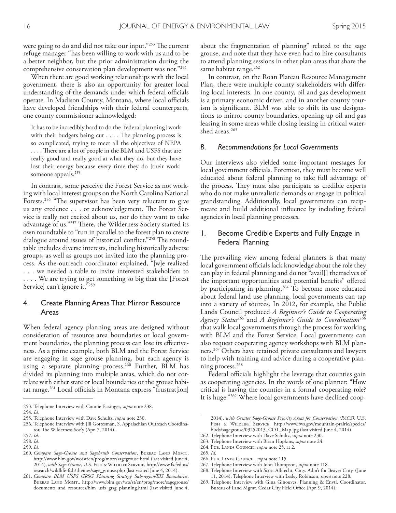were going to do and did not take our input."<sup>253</sup> The current refuge manager "has been willing to work with us and to be a better neighbor, but the prior administration during the comprehensive conservation plan development was not."254

When there are good working relationships with the local government, there is also an opportunity for greater local understanding of the demands under which federal officials operate. In Madison County, Montana, where local officials have developed friendships with their federal counterparts, one county commissioner acknowledged:

It has to be incredibly hard to do the [federal planning] work with their budgets being  $cut \ldots$ . The planning process is so complicated, trying to meet all the objectives of NEPA .... There are a lot of people in the BLM and USFS that are really good and really good at what they do, but they have lost their energy because every time they do [their work] someone appeals. 255

In contrast, some perceive the Forest Service as not working with local interest groups on the North Carolina National Forests.<sup>256</sup> "The supervisor has been very reluctant to give us any credence . . . or acknowledgement. The Forest Service is really not excited about us, nor do they want to take advantage of us."257 There, the Wilderness Society started its own roundtable to "run in parallel to the forest plan to create dialogue around issues of historical conflict."<sup>258</sup> The roundtable includes diverse interests, including historically adverse groups, as well as groups not invited into the planning process. As the outreach coordinator explained, "[w]e realized . . . we needed a table to invite interested stakeholders to . . . . We are trying to get something so big that the [Forest Service] can't ignore it."259

### 4. Create Planning Areas That Mirror Resource Areas

When federal agency planning areas are designed without consideration of resource area boundaries or local government boundaries, the planning process can lose its effectiveness. As a prime example, both BLM and the Forest Service are engaging in sage grouse planning, but each agency is using a separate planning process. 260 Further, BLM has divided its planning into multiple areas, which do not correlate with either state or local boundaries or the grouse habitat range.<sup>261</sup> Local officials in Montana express "frustrat[ion] about the fragmentation of planning" related to the sage grouse, and note that they have even had to hire consultants to attend planning sessions in other plan areas that share the same habitat range. 262

In contrast, on the Roan Plateau Resource Management Plan, there were multiple county stakeholders with difering local interests. In one county, oil and gas development is a primary economic driver, and in another county tourism is signifcant. BLM was able to shift its use designations to mirror county boundaries, opening up oil and gas leasing in some areas while closing leasing in critical watershed areas. 263

#### *B. Recommendations for Local Governments*

Our interviews also yielded some important messages for local government officials. Foremost, they must become well educated about federal planning to take full advantage of the process. They must also participate as credible experts who do not make unrealistic demands or engage in political grandstanding. Additionally, local governments can reciprocate and build additional infuence by including federal agencies in local planning processes.

# 1. Become Credible Experts and Fully Engage in Federal Planning

The prevailing view among federal planners is that many local government officials lack knowledge about the role they can play in federal planning and do not "avail[] themselves of the important opportunities and potential benefits" offered by participating in planning. 264 To become more educated about federal land use planning, local governments can tap into a variety of sources. In 2012, for example, the Public Lands Council produced *A Beginner's Guide to Cooperating Agency Status*<sup>265</sup> and *A Beginner's Guide to Coordination*<sup>266</sup> that walk local governments through the process for working with BLM and the Forest Service. Local governments can also request cooperating agency workshops with BLM planners. 267 Others have retained private consultants and lawyers to help with training and advice during a cooperative planning process. 268

Federal officials highlight the leverage that counties gain as cooperating agencies. In the words of one planner: "How critical is having the counties in a formal cooperating role? It is huge."269 Where local governments have declined coop-

- 263. Telephone Interview with Brian Hopkins, *supra* note 24.
- 264. Pub. Lands Council, *supra* note 25, at 2.
- 265. *Id*.
- 266. Pub. Lands Council, *supra* note 115.
- 267. Telephone Interview with John Thompson, *supra* note 118.

269. Telephone Interview with Gina Ginouves, Planning & Envtl. Coordinator, Bureau of Land Mgmt. Cedar City Field Office (Apr. 9, 2014).

<sup>253.</sup> Telephone Interview with Connie Eissinger, *supra* note 238.

<sup>254.</sup> *Id.*

<sup>255.</sup> Telephone Interview with Dave Schultz, *supra* note 230.

<sup>256.</sup> Telephone Interview with Jill Gottesman, S. Appalachian Outreach Coordinator, The Wilderness Soc'y (Apr. 7, 2014).

<sup>257.</sup> *Id*.

<sup>258.</sup> *Id.*

<sup>259.</sup> *Id.* 

<sup>260.</sup> Compare Sage-Grouse and Sagebrush Conservation, BUREAU LAND MGMT., http://www.blm.gov/wo/st/en/prog/more/sagegrouse.html (last visited June 4, 2014), *with Sage-Grouse*, U.S. Fish & Wildlife Service, http://www.fs.fed.us/ research/wildlife-fish/themes/sage\_grouse.php (last visited June 4, 2014).

<sup>261.</sup> *Compare BLM USFS GRSG Planning Strategy Sub-region/EIS Boundaries*, BUREAU LAND MGMT., http://www.blm.gov/wo/st/en/prog/more/sagegrouse/ documents\_and\_resources/blm\_usfs\_grsg\_planning.html (last visited June 4,

<sup>2014),</sup> *with Greater Sage-Grouse Priority Areas for Conservation (PACS)*, U.S. FISH & WILDLIFE SERVICE, http://www.fws.gov/mountain-prairie/species/ birds/sagegrouse/03252013\_COT\_Map.jpg (last visited June 4, 2014).

<sup>262.</sup> Telephone Interview with Dave Schultz, *supra* note 230.

<sup>268.</sup> Telephone Interview with Scott Albrecht, Cnty. Adm'r for Beaver Cnty. (June 11, 2014); Telephone Interview with Lesley Robinson, *supra* note 228.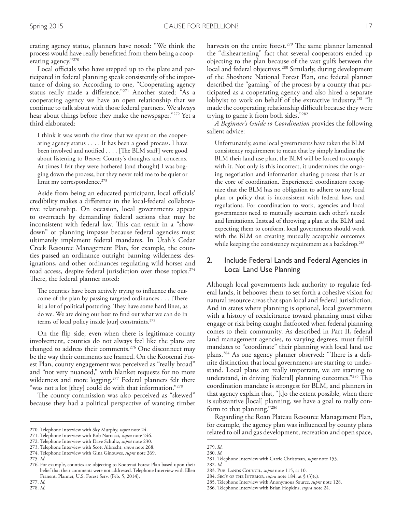erating agency status, planners have noted: "We think the process would have really beneftted from them being a cooperating agency."270

Local officials who have stepped up to the plate and participated in federal planning speak consistently of the importance of doing so. According to one, "Cooperating agency status really made a diference."271 Another stated: "As a cooperating agency we have an open relationship that we continue to talk about with those federal partners. We always hear about things before they make the newspaper."272 Yet a third elaborated:

I think it was worth the time that we spent on the cooperating agency status . . . . It has been a good process. I have been involved and notified . . . . [The BLM staff] were good about listening to Beaver County's thoughts and concerns. At times I felt they were bothered [and thought] I was bogging down the process, but they never told me to be quiet or limit my correspondence. 273

Aside from being an educated participant, local officials' credibility makes a diference in the local-federal collaborative relationship. On occasion, local governments appear to overreach by demanding federal actions that may be inconsistent with federal law. This can result in a "showdown" or planning impasse because federal agencies must ultimately implement federal mandates. In Utah's Cedar Creek Resource Management Plan, for example, the counties passed an ordinance outright banning wilderness designations, and other ordinances regulating wild horses and road access, despite federal jurisdiction over those topics. 274 There, the federal planner noted:

The counties have been actively trying to influence the outcome of the plan by passing targeted ordinances  $\dots$  [There is] a lot of political posturing. They have some hard lines, as do we. We are doing our best to fnd out what we can do in terms of local policy inside [our] constraints. 275

On the fip side, even when there is legitimate county involvement, counties do not always feel like the plans are changed to address their comments. 276 One disconnect may be the way their comments are framed. On the Kootenai Forest Plan, county engagement was perceived as "really broad" and "not very nuanced," with blanket requests for no more wilderness and more logging. 277 Federal planners felt there "was not a lot [they] could do with that information."278

The county commission was also perceived as "skewed" because they had a political perspective of wanting timber

277. *Id.* 278. *Id.* harvests on the entire forest.<sup>279</sup> The same planner lamented the "disheartening" fact that several cooperators ended up objecting to the plan because of the vast gulfs between the local and federal objectives. 280 Similarly, during development of the Shoshone National Forest Plan, one federal planner described the "gaming" of the process by a county that participated as a cooperating agency and also hired a separate lobbyist to work on behalf of the extractive industry. 281 "It made the cooperating relationship difficult because they were trying to game it from both sides."282

*A Beginner's Guide to Coordination* provides the following salient advice:

Unfortunately, some local governments have taken the BLM consistency requirement to mean that by simply handing the BLM their land use plan, the BLM will be forced to comply with it. Not only is this incorrect, it undermines the ongoing negotiation and information sharing process that is at the core of coordination. Experienced coordinators recognize that the BLM has no obligation to adhere to any local plan or policy that is inconsistent with federal laws and regulations. For coordination to work, agencies and local governments need to mutually ascertain each other's needs and limitations. Instead of throwing a plan at the BLM and expecting them to conform, local governments should work with the BLM on creating mutually acceptable outcomes while keeping the consistency requirement as a backdrop. 283

# 2. Include Federal Lands and Federal Agencies in Local Land Use Planning

Although local governments lack authority to regulate federal lands, it behooves them to set forth a cohesive vision for natural resource areas that span local and federal jurisdiction. And in states where planning is optional, local governments with a history of recalcitrance toward planning must either engage or risk being caught fatfooted when federal planning comes to their community. As described in Part II, federal land management agencies, to varying degrees, must fulfll mandates to "coordinate" their planning with local land use plans.<sup>284</sup> As one agency planner observed: "There is a definite distinction that local governments are starting to understand. Local plans are really important, we are starting to understand, in driving [federal] planning outcomes."285 This coordination mandate is strongest for BLM, and planners in that agency explain that, "[t]o the extent possible, when there is substantive [local] planning, we have a goal to really conform to that planning."286

Regarding the Roan Plateau Resource Management Plan, for example, the agency plan was infuenced by county plans related to oil and gas development, recreation and open space,

283. Pub. Lands Council*, supra* note 115, at 10.

- 285. Telephone Interview with Anonymous Source, *supra* note 128.
- 286. Telephone Interview with Brian Hopkins, *supra* note 24.

<sup>270.</sup> Telephone Interview with Sky Murphy, *supra* note 24.

<sup>271.</sup> Telephone Interview with Bob Narracci, *supra* note 246.

<sup>272.</sup> Telephone Interview with Dave Schultz, *supra* note 230.

<sup>273.</sup> Telephone Interview with Scott Albrecht, *supra* note 268.

<sup>274.</sup> Telephone Interview with Gina Ginouves, *supra* note 269.

<sup>275.</sup> *Id*.

<sup>276.</sup> For example, counties are objecting to Kootenai Forest Plan based upon their belief that their comments were not addressed. Telephone Interview with Ellen Franent, Planner, U.S. Forest Serv. (Feb. 5, 2014).

<sup>279.</sup> *Id*. 280. *Id.*

<sup>281.</sup> Telephone Interview with Carrie Christman, *supra* note 155.

<sup>282.</sup> *Id.*

<sup>284.</sup> Sec'y of the Interior, *supra* note 184, at § (3)(c).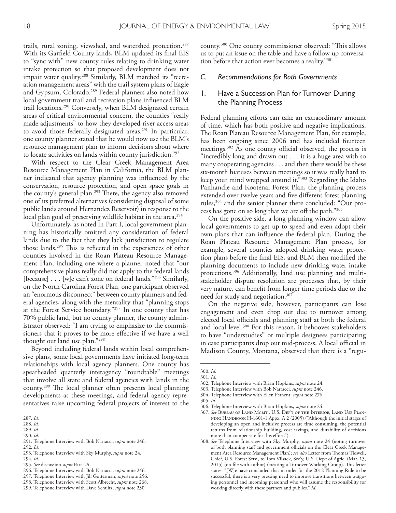trails, rural zoning, viewshed, and watershed protection. 287 With its Garfeld County lands, BLM updated its fnal EIS to "sync with" new county rules relating to drinking water intake protection so that proposed development does not impair water quality. 288 Similarly, BLM matched its "recreation management areas" with the trail system plans of Eagle and Gypsum, Colorado. 289 Federal planners also noted how local government trail and recreation plans infuenced BLM trail locations. 290 Conversely, when BLM designated certain areas of critical environmental concern, the counties "really made adjustments" to how they developed river access areas to avoid those federally designated areas. 291 In particular, one county planner stated that he would now use the BLM's resource management plan to inform decisions about where to locate activities on lands within county jurisdiction. 292

With respect to the Clear Creek Management Area Resource Management Plan in California, the BLM planner indicated that agency planning was infuenced by the conservation, resource protection, and open space goals in the county's general plan.<sup>293</sup> There, the agency also removed one of its preferred alternatives (considering disposal of some public lands around Hernandez Reservoir) in response to the local plan goal of preserving wildlife habitat in the area. 294

Unfortunately, as noted in Part I, local government planning has historically omitted any consideration of federal lands due to the fact that they lack jurisdiction to regulate those lands.<sup>295</sup> This is reflected in the experiences of other counties involved in the Roan Plateau Resource Management Plan, including one where a planner noted that "our comprehensive plans really did not apply to the federal lands [because] . . . [w]e can't zone on federal lands."296 Similarly, on the North Carolina Forest Plan, one participant observed an "enormous disconnect" between county planners and federal agencies, along with the mentality that "planning stops at the Forest Service boundary."297 In one county that has 70% public land, but no county planner, the county administrator observed: "I am trying to emphasize to the commissioners that it proves to be more efective if we have a well thought out land use plan."298

Beyond including federal lands within local comprehensive plans, some local governments have initiated long-term relationships with local agency planners. One county has spearheaded quarterly interagency "roundtable" meetings that involve all state and federal agencies with lands in the county.<sup>299</sup> The local planner often presents local planning developments at these meetings, and federal agency representatives raise upcoming federal projects of interest to the

- 289. *Id.*
- 290. *Id*.
- 291. Telephone Interview with Bob Narracci, *supra* note 246. 292. *Id.*
- 293. Telephone Interview with Sky Murphy, *supra* note 24.

- 295. *See* discussion *supra* Part I.A.
- 296. Telephone Interview with Bob Narracci, *supra* note 246.
- 297. Telephone Interview with Jill Gottesman, *supra* note 256.
- 298. Telephone Interview with Scott Albrecht, *supra* note 268.
- 299. Telephone Interview with Dave Schultz, *supra* note 230.

county.<sup>300</sup> One county commissioner observed: "This allows us to put an issue on the table and have a follow-up conversation before that action ever becomes a reality."301

#### *C. Recommendations for Both Governments*

## 1. Have a Succession Plan for Turnover During the Planning Process

Federal planning efforts can take an extraordinary amount of time, which has both positive and negative implications. The Roan Plateau Resource Management Plan, for example, has been ongoing since 2006 and has included fourteen meetings.<sup>302</sup> As one county official observed, the process is "incredibly long and drawn out . . . it is a huge area with so many cooperating agencies . . . and then there would be these six-month hiatuses between meetings so it was really hard to keep your mind wrapped around it."303 Regarding the Idaho Panhandle and Kootenai Forest Plan, the planning process extended over twelve years and fve diferent forest planning rules,304 and the senior planner there concluded: "Our process has gone on so long that we are off the path."305

On the positive side, a long planning window can allow local governments to get up to speed and even adopt their own plans that can infuence the federal plan. During the Roan Plateau Resource Management Plan process, for example, several counties adopted drinking water protection plans before the fnal EIS, and BLM then modifed the planning documents to include new drinking water intake protections. 306 Additionally, land use planning and multistakeholder dispute resolution are processes that, by their very nature, can beneft from longer time periods due to the need for study and negotiation. 307

On the negative side, however, participants can lose engagement and even drop out due to turnover among elected local officials and planning staff at both the federal and local level. 308 For this reason, it behooves stakeholders to have "understudies" or multiple designees participating in case participants drop out mid-process. A local official in Madison County, Montana, observed that there is a "regu-

306. Telephone Interview with Brian Hopkins, *supra* note 24.

<sup>287.</sup> *Id.*

<sup>288.</sup> *Id.*

<sup>294.</sup> *Id*.

<sup>300.</sup> *Id.*

<sup>301.</sup> *Id.*

<sup>302.</sup> Telephone Interview with Brian Hopkins, *supra* note 24.

<sup>303.</sup> Telephone Interview with Bob Narracci, *supra* note 246.

<sup>304.</sup> Telephone Interview with Ellen Franent, *supra* note 276.

<sup>305.</sup> *Id.*

<sup>307.</sup> *See* Bureau of Land Mgmt., U.S. Dep't of the Interior, Land Use Planning Handbook H-1601-1 Appx. A 2 (2005) ("Although the initial stages of developing an open and inclusive process are time consuming, the potential returns from relationship building, cost savings, and durability of decisions more than compensate for this effort.").

<sup>308.</sup> *See* Telephone Interview with Sky Murphy, *supra* note 24 (noting turnover of both planning staff and government officials on the Clear Creek Management Area Resource Management Plan); see also Letter from Thomas Tidwell, Chief, U.S. Forest Serv., to Tom Vilsack, Sec'y, U.S. Dep't of Agric. (Mar. 13, 2015) (on file with author) (creating a Turnover Working Group). This letter states: "[W]e have concluded that in order for the 2012 Planning Rule to be successful, there is a very pressing need to improve transitions between outgoing personnel and incoming personnel who will assume the responsibility for working directly with these partners and publics." *Id.*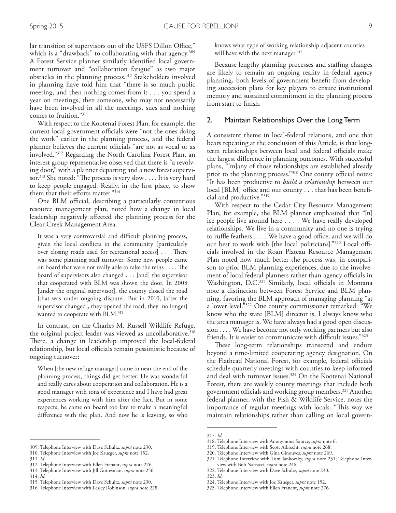lar transition of supervisors out of the USFS Dillon Office," which is a "drawback" to collaborating with that agency. 309 A Forest Service planner similarly identifed local government turnover and "collaboration fatigue" as two major obstacles in the planning process. 310 Stakeholders involved in planning have told him that "there is so much public meeting, and then nothing comes from it . . . you spend a year on meetings, then someone, who may not necessarily have been involved in all the meetings, sues and nothing comes to fruition."311

With respect to the Kootenai Forest Plan, for example, the current local government officials were "not the ones doing the work" earlier in the planning process, and the federal planner believes the current officials "are not as vocal or as involved."312 Regarding the North Carolina Forest Plan, an interest group representative observed that there is "a revolving door," with a planner departing and a new forest supervisor.<sup>313</sup> She noted: "The process is very slow . . . . It is very hard to keep people engaged. Really, in the frst place, to show them that their efforts matter."314

One BLM official, describing a particularly contentious resource management plan, noted how a change in local leadership negatively afected the planning process for the Clear Creek Management Area:

It was a very controversial and difficult planning process, given the local conficts in the community [particularly over closing roads used for recreational access] . . . There was some planning staff turnover. Some new people came on board that were not really able to take the reins  $\dots$  The board of supervisors also changed . . . [and] the supervisor that cooperated with BLM was shown the door. In 2008 [under the original supervisor], the county closed the road [that was under ongoing dispute]. But in 2010, [after the supervisor changed], they opened the road; they [no longer] wanted to cooperate with BLM. 315

In contrast, on the Charles M. Russell Wildlife Refuge, the original project leader was viewed as uncollaborative. 316 There, a change in leadership improved the local-federal relationship, but local officials remain pessimistic because of ongoing turnover:

When [the new refuge manager] came in near the end of the planning process, things did get better. He was wonderful and really cares about cooperation and collaboration. He is a good manager with tons of experience and I have had great experiences working with him after the fact. But in some respects, he came on board too late to make a meaningful diference with the plan. And now he is leaving, so who

314. *Id*.

knows what type of working relationship adjacent counties will have with the next manager. 317

Because lengthy planning processes and stafng changes are likely to remain an ongoing reality in federal agency planning, both levels of government beneft from developing succession plans for key players to ensure institutional memory and sustained commitment in the planning process from start to fnish.

#### 2. Maintain Relationships Over the Long Term

A consistent theme in local-federal relations, and one that bears repeating at the conclusion of this Article, is that longterm relationships between local and federal officials make the largest diference in planning outcomes. With successful plans, "[m]any of those relationships are established already prior to the planning process."<sup>318</sup> One county official notes: "It has been productive to *build a relationship* between our  $local [BLM]$  office and our county  $\ldots$  that has been beneficial and productive."319

With respect to the Cedar City Resource Management Plan, for example, the BLM planner emphasized that "[n] ice people live around here . . . . We have really developed relationships. We live in a community and no one is trying to ruffle feathers  $\dots$ . We have a good office, and we will do our best to work with [the local politicians]."<sup>320</sup> Local officials involved in the Roan Plateau Resource Management Plan noted how much better the process was, in comparison to prior BLM planning experiences, due to the involvement of local federal planners rather than agency officials in Washington, D.C.<sup>321</sup> Similarly, local officials in Montana note a distinction between Forest Service and BLM planning, favoring the BLM approach of managing planning "at a lower level."322 One county commissioner remarked: "We know who the state [BLM] director is. I always know who the area manager is. We have always had a good open discussion . . . . We have become not only working partners but also friends. It is easier to communicate with difficult issues."<sup>323</sup>

These long-term relationships transcend and endure beyond a time-limited cooperating agency designation. On the Flathead National Forest, for example, federal officials schedule quarterly meetings with counties to keep informed and deal with turnover issues. 324 On the Kootenai National Forest, there are weekly county meetings that include both government officials and working group members.<sup>325</sup> Another federal planner, with the Fish & Wildlife Service, notes the importance of regular meetings with locals: "This way we maintain relationships rather than calling on local govern-

<sup>309.</sup> Telephone Interview with Dave Schultz, *supra* note 230.

<sup>310.</sup> Telephone Interview with Joe Krueger, *supra* note 152.

<sup>311.</sup> *Id.*

<sup>312.</sup> Telephone Interview with Ellen Frenant, *supra* note 276.

<sup>313.</sup> Telephone Interview with Jill Gottesman, *supra* note 256.

<sup>315.</sup> Telephone Interview with Dave Schultz, *supra* note 230.

<sup>316.</sup> Telephone Interview with Lesley Robinson, *supra* note 228.

<sup>317.</sup> *Id.*

<sup>318.</sup> Telephone Interview with Anonymous Source, *supra* note 6.

<sup>319.</sup> Telephone Interview with Scott Albrecht, *supra* note 268.

<sup>320.</sup> Telephone Interview with Gina Ginouves, *supra* note 269.

<sup>321.</sup> Telephone Interview with Tom Jankovsky, *supra* note 231; Telephone Interview with Bob Narracci, *supra* note 246.

<sup>322.</sup> Telephone Interview with Dave Schultz, *supra* note 230.

<sup>323.</sup> *Id*.

<sup>324.</sup> Telephone Interview with Joe Krueger, *supra* note 152.

<sup>325.</sup> Telephone Interview with Ellen Franent, *supra* note 276.